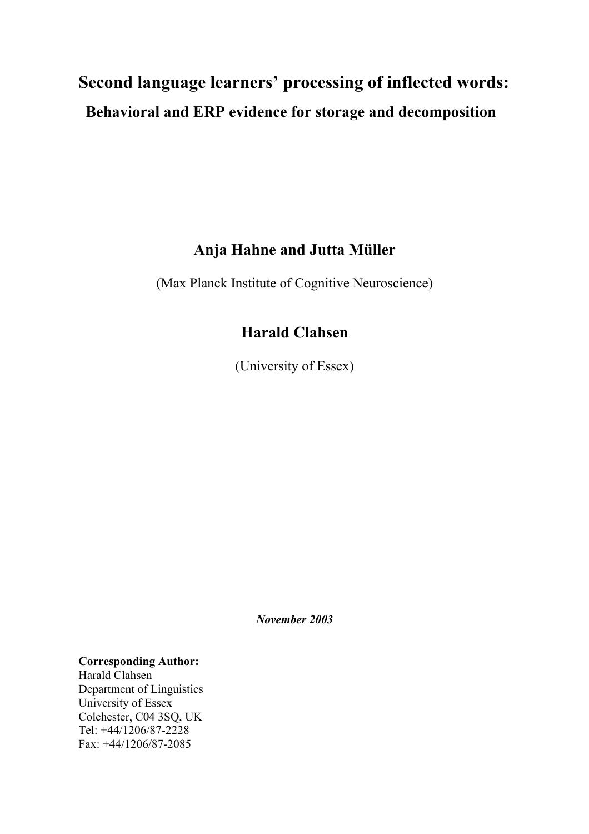# **Second language learners' processing of inflected words: Behavioral and ERP evidence for storage and decomposition**

# **Anja Hahne and Jutta Müller**

(Max Planck Institute of Cognitive Neuroscience)

# **Harald Clahsen**

(University of Essex)

*November 2003* 

**Corresponding Author:**  Harald Clahsen

Department of Linguistics University of Essex Colchester, C04 3SQ, UK Tel: +44/1206/87-2228 Fax: +44/1206/87-2085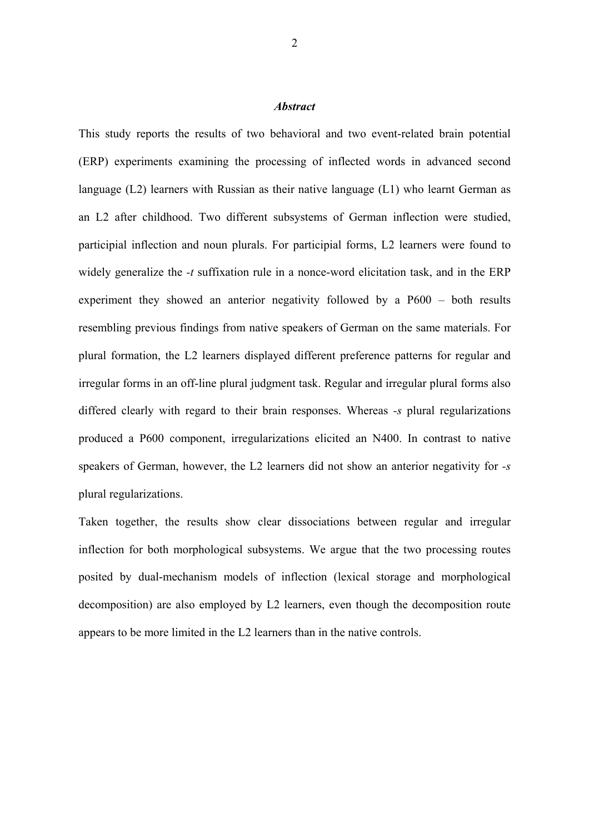#### *Abstract*

This study reports the results of two behavioral and two event-related brain potential (ERP) experiments examining the processing of inflected words in advanced second language (L2) learners with Russian as their native language (L1) who learnt German as an L2 after childhood. Two different subsystems of German inflection were studied, participial inflection and noun plurals. For participial forms, L2 learners were found to widely generalize the *-t* suffixation rule in a nonce-word elicitation task, and in the ERP experiment they showed an anterior negativity followed by a P600 – both results resembling previous findings from native speakers of German on the same materials. For plural formation, the L2 learners displayed different preference patterns for regular and irregular forms in an off-line plural judgment task. Regular and irregular plural forms also differed clearly with regard to their brain responses. Whereas *-s* plural regularizations produced a P600 component, irregularizations elicited an N400. In contrast to native speakers of German, however, the L2 learners did not show an anterior negativity for *-s* plural regularizations.

Taken together, the results show clear dissociations between regular and irregular inflection for both morphological subsystems. We argue that the two processing routes posited by dual-mechanism models of inflection (lexical storage and morphological decomposition) are also employed by L2 learners, even though the decomposition route appears to be more limited in the L2 learners than in the native controls.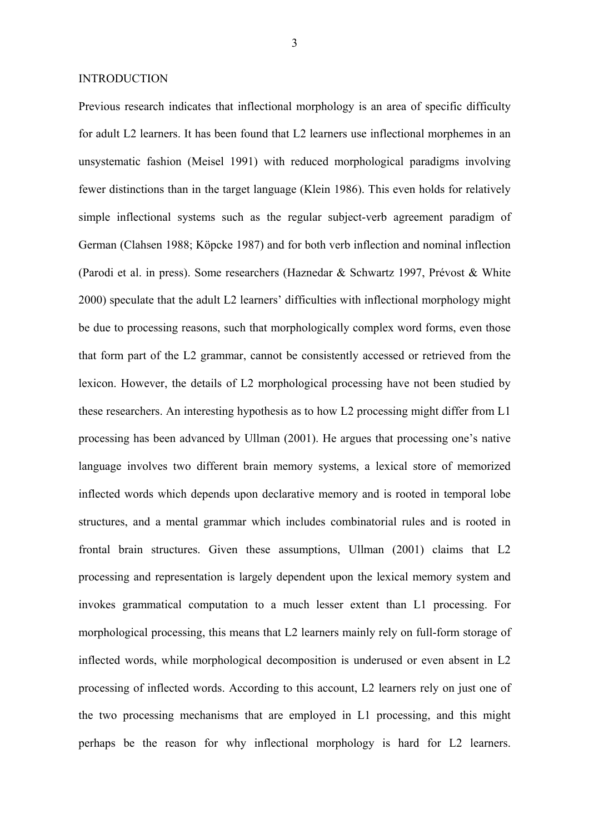#### INTRODUCTION

Previous research indicates that inflectional morphology is an area of specific difficulty for adult L2 learners. It has been found that L2 learners use inflectional morphemes in an unsystematic fashion (Meisel 1991) with reduced morphological paradigms involving fewer distinctions than in the target language (Klein 1986). This even holds for relatively simple inflectional systems such as the regular subject-verb agreement paradigm of German (Clahsen 1988; Köpcke 1987) and for both verb inflection and nominal inflection (Parodi et al. in press). Some researchers (Haznedar & Schwartz 1997, Prévost & White 2000) speculate that the adult L2 learners' difficulties with inflectional morphology might be due to processing reasons, such that morphologically complex word forms, even those that form part of the L2 grammar, cannot be consistently accessed or retrieved from the lexicon. However, the details of L2 morphological processing have not been studied by these researchers. An interesting hypothesis as to how L2 processing might differ from L1 processing has been advanced by Ullman (2001). He argues that processing one's native language involves two different brain memory systems, a lexical store of memorized inflected words which depends upon declarative memory and is rooted in temporal lobe structures, and a mental grammar which includes combinatorial rules and is rooted in frontal brain structures. Given these assumptions, Ullman (2001) claims that L2 processing and representation is largely dependent upon the lexical memory system and invokes grammatical computation to a much lesser extent than L1 processing. For morphological processing, this means that L2 learners mainly rely on full-form storage of inflected words, while morphological decomposition is underused or even absent in L2 processing of inflected words. According to this account, L2 learners rely on just one of the two processing mechanisms that are employed in L1 processing, and this might perhaps be the reason for why inflectional morphology is hard for L2 learners.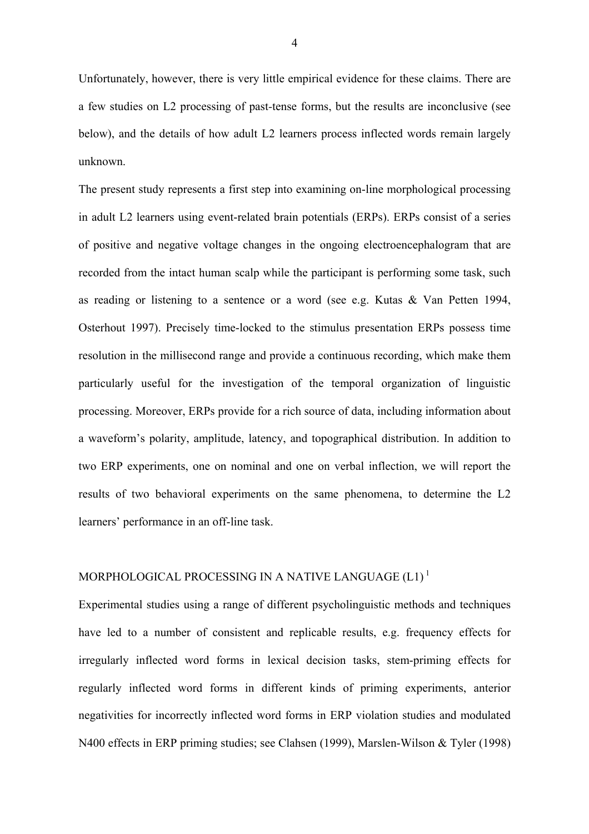Unfortunately, however, there is very little empirical evidence for these claims. There are a few studies on L2 processing of past*-*tense forms, but the results are inconclusive (see below), and the details of how adult L2 learners process inflected words remain largely unknown.

The present study represents a first step into examining on-line morphological processing in adult L2 learners using event-related brain potentials (ERPs). ERPs consist of a series of positive and negative voltage changes in the ongoing electroencephalogram that are recorded from the intact human scalp while the participant is performing some task, such as reading or listening to a sentence or a word (see e.g. Kutas & Van Petten 1994, Osterhout 1997). Precisely time-locked to the stimulus presentation ERPs possess time resolution in the millisecond range and provide a continuous recording, which make them particularly useful for the investigation of the temporal organization of linguistic processing. Moreover, ERPs provide for a rich source of data, including information about a waveform's polarity, amplitude, latency, and topographical distribution. In addition to two ERP experiments, one on nominal and one on verbal inflection, we will report the results of two behavioral experiments on the same phenomena, to determine the L2 learners' performance in an off-line task.

# MORPHOLOGICAL PROCESSING IN A NATIVE LANGUAGE  $(L1)^1$

Experimental studies using a range of different psycholinguistic methods and techniques have led to a number of consistent and replicable results, e.g. frequency effects for irregularly inflected word forms in lexical decision tasks, stem-priming effects for regularly inflected word forms in different kinds of priming experiments, anterior negativities for incorrectly inflected word forms in ERP violation studies and modulated N400 effects in ERP priming studies; see Clahsen (1999), Marslen-Wilson & Tyler (1998)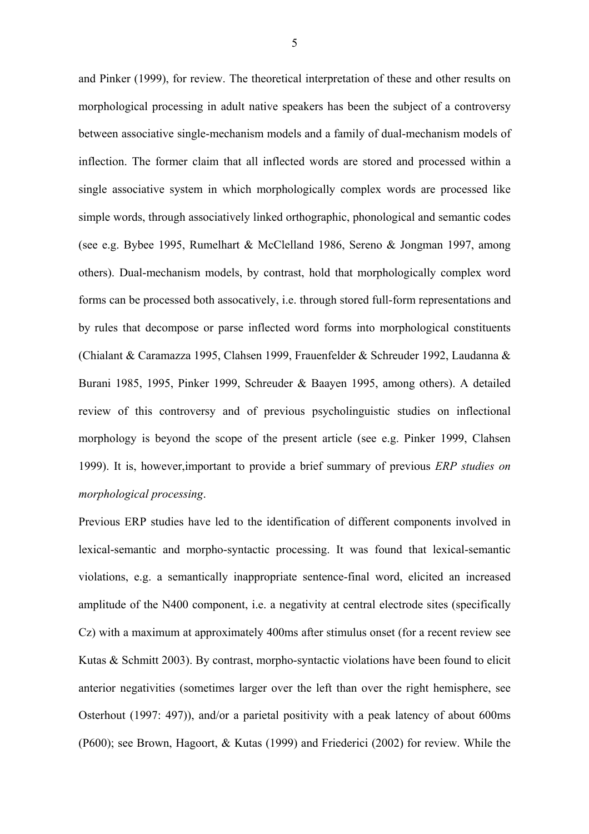and Pinker (1999), for review. The theoretical interpretation of these and other results on morphological processing in adult native speakers has been the subject of a controversy between associative single-mechanism models and a family of dual-mechanism models of inflection. The former claim that all inflected words are stored and processed within a single associative system in which morphologically complex words are processed like simple words, through associatively linked orthographic, phonological and semantic codes (see e.g. Bybee 1995, Rumelhart & McClelland 1986, Sereno & Jongman 1997, among others). Dual-mechanism models, by contrast, hold that morphologically complex word forms can be processed both assocatively, i.e. through stored full-form representations and by rules that decompose or parse inflected word forms into morphological constituents (Chialant & Caramazza 1995, Clahsen 1999, Frauenfelder & Schreuder 1992, Laudanna & Burani 1985, 1995, Pinker 1999, Schreuder & Baayen 1995, among others). A detailed review of this controversy and of previous psycholinguistic studies on inflectional morphology is beyond the scope of the present article (see e.g. Pinker 1999, Clahsen 1999). It is, however,important to provide a brief summary of previous *ERP studies on morphological processing*.

Previous ERP studies have led to the identification of different components involved in lexical-semantic and morpho-syntactic processing. It was found that lexical-semantic violations, e.g. a semantically inappropriate sentence-final word, elicited an increased amplitude of the N400 component, i.e. a negativity at central electrode sites (specifically Cz) with a maximum at approximately 400ms after stimulus onset (for a recent review see Kutas & Schmitt 2003). By contrast, morpho-syntactic violations have been found to elicit anterior negativities (sometimes larger over the left than over the right hemisphere, see Osterhout (1997: 497)), and/or a parietal positivity with a peak latency of about 600ms (P600); see Brown, Hagoort, & Kutas (1999) and Friederici (2002) for review. While the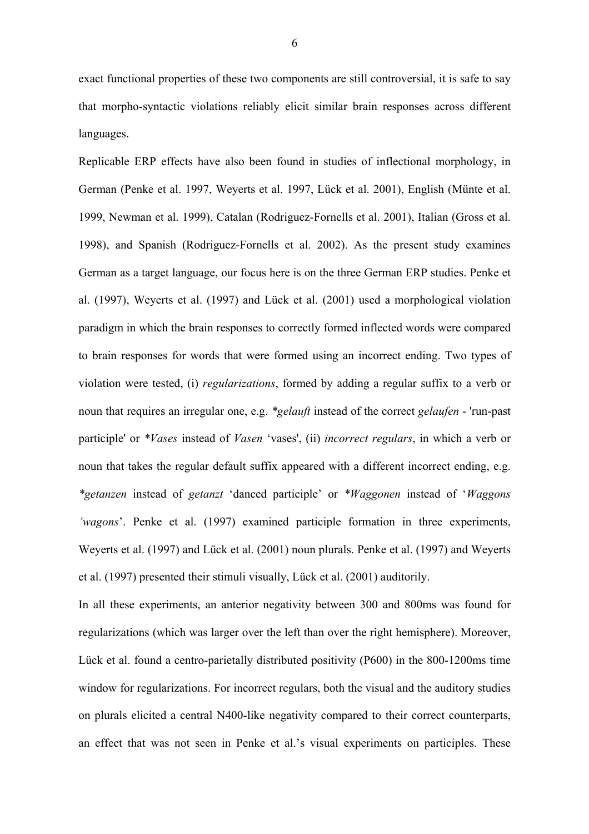exact functional properties of these two components are still controversial, it is safe to say that morpho-syntactic violations reliably elicit similar brain responses across different languages.

Replicable ERP effects have also been found in studies of inflectional morphology, in German (Penke et al. 1997, Weyerts et al. 1997, Lück et al. 2001), English (Münte et al. 1999, Newman et al. 1999), Catalan (Rodriguez-Fornells et al. 2001), Italian (Gross et al. 1998), and Spanish (Rodriguez-Fornells et al. 2002). As the present study examines German as a target language, our focus here is on the three German ERP studies. Penke et al. (1997), Weyerts et al. (1997) and Lück et al. (2001) used a morphological violation paradigm in which the brain responses to correctly formed inflected words were compared to brain responses for words that were formed using an incorrect ending. Two types of violation were tested, (i) *regularizations*, formed by adding a regular suffix to a verb or noun that requires an irregular one, e.g. *\*gelauft* instead of the correct *gelaufen* - 'run-past participle' or *\*Vases* instead of *Vasen* 'vases', (ii) *incorrect regulars*, in which a verb or noun that takes the regular default suffix appeared with a different incorrect ending, e.g. *\*getanzen* instead of *getanzt* 'danced participle' or *\*Waggonen* instead of '*Waggons 'wagons*'. Penke et al. (1997) examined participle formation in three experiments, Weyerts et al. (1997) and Lück et al. (2001) noun plurals. Penke et al. (1997) and Weyerts et al. (1997) presented their stimuli visually, Lück et al. (2001) auditorily.

In all these experiments, an anterior negativity between 300 and 800ms was found for regularizations (which was larger over the left than over the right hemisphere). Moreover, Lück et al. found a centro-parietally distributed positivity (P600) in the 800-1200ms time window for regularizations. For incorrect regulars, both the visual and the auditory studies on plurals elicited a central N400-like negativity compared to their correct counterparts, an effect that was not seen in Penke et al.'s visual experiments on participles. These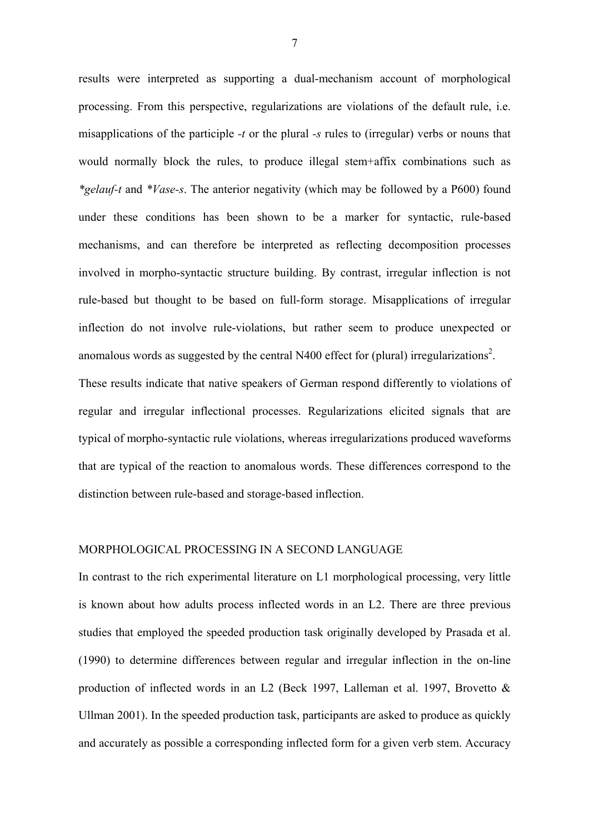results were interpreted as supporting a dual-mechanism account of morphological processing. From this perspective, regularizations are violations of the default rule, i.e. misapplications of the participle *-t* or the plural *-s* rules to (irregular) verbs or nouns that would normally block the rules, to produce illegal stem+affix combinations such as *\*gelauf-t* and *\*Vase-s*. The anterior negativity (which may be followed by a P600) found under these conditions has been shown to be a marker for syntactic, rule-based mechanisms, and can therefore be interpreted as reflecting decomposition processes involved in morpho-syntactic structure building. By contrast, irregular inflection is not rule-based but thought to be based on full-form storage. Misapplications of irregular inflection do not involve rule-violations, but rather seem to produce unexpected or anomalous words as suggested by the central N400 effect for (plural) irregularizations<sup>2</sup>. These results indicate that native speakers of German respond differently to violations of regular and irregular inflectional processes. Regularizations elicited signals that are typical of morpho-syntactic rule violations, whereas irregularizations produced waveforms that are typical of the reaction to anomalous words. These differences correspond to the distinction between rule-based and storage-based inflection.

#### MORPHOLOGICAL PROCESSING IN A SECOND LANGUAGE

In contrast to the rich experimental literature on L1 morphological processing, very little is known about how adults process inflected words in an L2. There are three previous studies that employed the speeded production task originally developed by Prasada et al. (1990) to determine differences between regular and irregular inflection in the on-line production of inflected words in an L2 (Beck 1997, Lalleman et al. 1997, Brovetto & Ullman 2001). In the speeded production task, participants are asked to produce as quickly and accurately as possible a corresponding inflected form for a given verb stem. Accuracy

7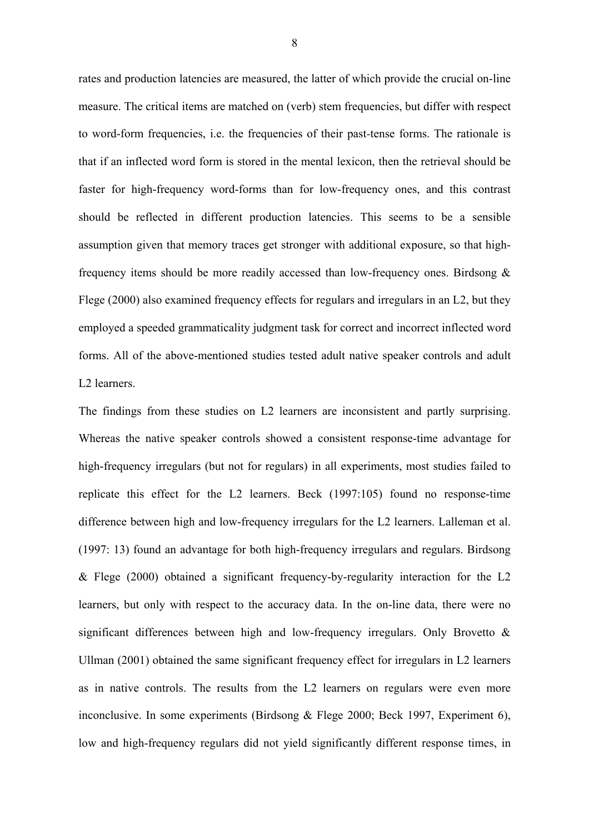rates and production latencies are measured, the latter of which provide the crucial on-line measure. The critical items are matched on (verb) stem frequencies, but differ with respect to word-form frequencies, i.e. the frequencies of their past*-*tense forms. The rationale is that if an inflected word form is stored in the mental lexicon, then the retrieval should be faster for high-frequency word-forms than for low-frequency ones, and this contrast should be reflected in different production latencies. This seems to be a sensible assumption given that memory traces get stronger with additional exposure, so that highfrequency items should be more readily accessed than low-frequency ones. Birdsong & Flege (2000) also examined frequency effects for regulars and irregulars in an L2, but they employed a speeded grammaticality judgment task for correct and incorrect inflected word forms. All of the above-mentioned studies tested adult native speaker controls and adult L2 learners.

The findings from these studies on L2 learners are inconsistent and partly surprising. Whereas the native speaker controls showed a consistent response-time advantage for high-frequency irregulars (but not for regulars) in all experiments, most studies failed to replicate this effect for the L2 learners. Beck (1997:105) found no response-time difference between high and low-frequency irregulars for the L2 learners. Lalleman et al. (1997: 13) found an advantage for both high-frequency irregulars and regulars. Birdsong & Flege (2000) obtained a significant frequency-by-regularity interaction for the L2 learners, but only with respect to the accuracy data. In the on-line data, there were no significant differences between high and low-frequency irregulars. Only Brovetto & Ullman (2001) obtained the same significant frequency effect for irregulars in L2 learners as in native controls. The results from the L2 learners on regulars were even more inconclusive. In some experiments (Birdsong & Flege 2000; Beck 1997, Experiment 6), low and high-frequency regulars did not yield significantly different response times, in

8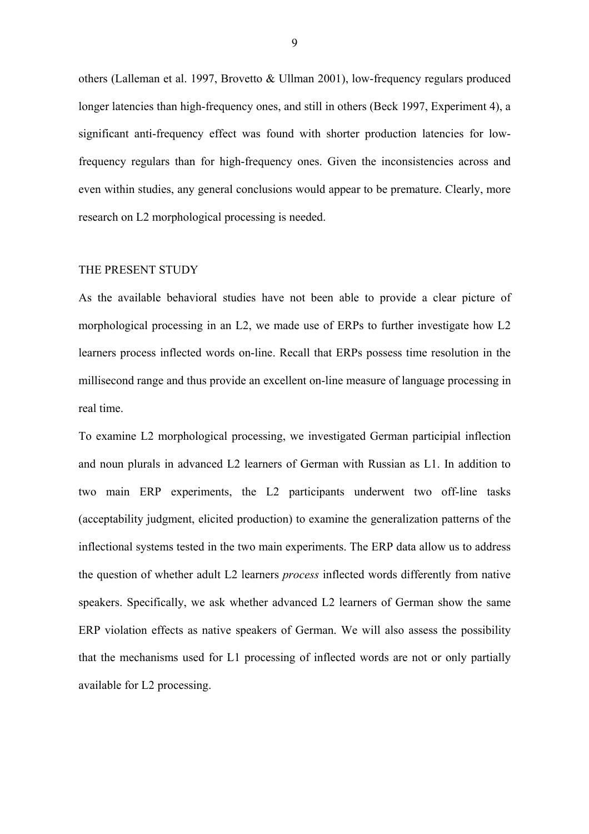others (Lalleman et al. 1997, Brovetto & Ullman 2001), low-frequency regulars produced longer latencies than high-frequency ones, and still in others (Beck 1997, Experiment 4), a significant anti-frequency effect was found with shorter production latencies for lowfrequency regulars than for high-frequency ones. Given the inconsistencies across and even within studies, any general conclusions would appear to be premature. Clearly, more research on L2 morphological processing is needed.

#### THE PRESENT STUDY

As the available behavioral studies have not been able to provide a clear picture of morphological processing in an L2, we made use of ERPs to further investigate how L2 learners process inflected words on-line. Recall that ERPs possess time resolution in the millisecond range and thus provide an excellent on-line measure of language processing in real time.

To examine L2 morphological processing, we investigated German participial inflection and noun plurals in advanced L2 learners of German with Russian as L1. In addition to two main ERP experiments, the L2 participants underwent two off-line tasks (acceptability judgment, elicited production) to examine the generalization patterns of the inflectional systems tested in the two main experiments. The ERP data allow us to address the question of whether adult L2 learners *process* inflected words differently from native speakers. Specifically, we ask whether advanced L2 learners of German show the same ERP violation effects as native speakers of German. We will also assess the possibility that the mechanisms used for L1 processing of inflected words are not or only partially available for L2 processing.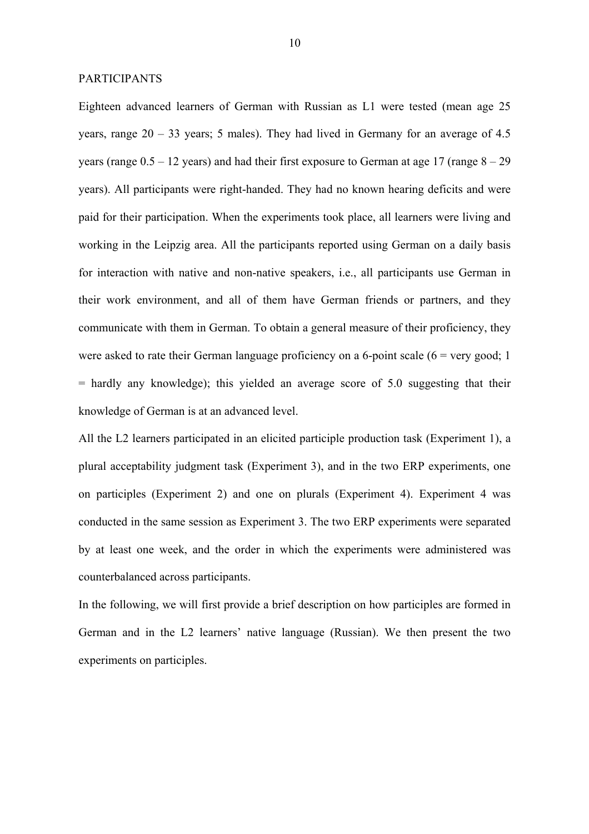#### PARTICIPANTS

Eighteen advanced learners of German with Russian as L1 were tested (mean age 25 years, range 20 – 33 years; 5 males). They had lived in Germany for an average of 4.5 years (range  $0.5 - 12$  years) and had their first exposure to German at age 17 (range  $8 - 29$ ) years). All participants were right-handed. They had no known hearing deficits and were paid for their participation. When the experiments took place, all learners were living and working in the Leipzig area. All the participants reported using German on a daily basis for interaction with native and non-native speakers, i.e., all participants use German in their work environment, and all of them have German friends or partners, and they communicate with them in German. To obtain a general measure of their proficiency, they were asked to rate their German language proficiency on a 6-point scale  $(6 = \text{very good}; 1$  $=$  hardly any knowledge); this yielded an average score of 5.0 suggesting that their knowledge of German is at an advanced level.

All the L2 learners participated in an elicited participle production task (Experiment 1), a plural acceptability judgment task (Experiment 3), and in the two ERP experiments, one on participles (Experiment 2) and one on plurals (Experiment 4). Experiment 4 was conducted in the same session as Experiment 3. The two ERP experiments were separated by at least one week, and the order in which the experiments were administered was counterbalanced across participants.

In the following, we will first provide a brief description on how participles are formed in German and in the L2 learners' native language (Russian). We then present the two experiments on participles.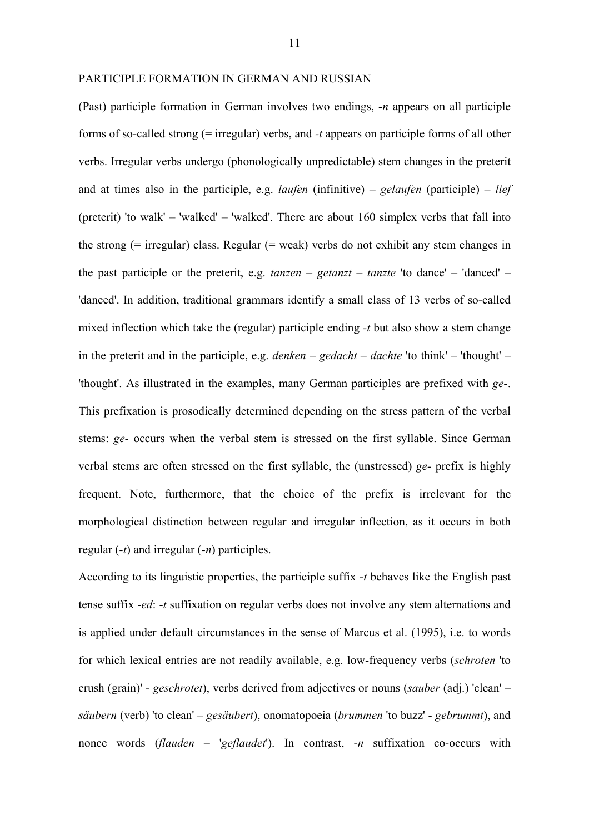#### PARTICIPLE FORMATION IN GERMAN AND RUSSIAN

(Past) participle formation in German involves two endings, *-n* appears on all participle forms of so-called strong (= irregular) verbs, and *-t* appears on participle forms of all other verbs. Irregular verbs undergo (phonologically unpredictable) stem changes in the preterit and at times also in the participle, e.g. *laufen* (infinitive) – *gelaufen* (participle) – *lief* (preterit) 'to walk' – 'walked' – 'walked'. There are about 160 simplex verbs that fall into the strong (= irregular) class. Regular (= weak) verbs do not exhibit any stem changes in the past participle or the preterit, e.g. *tanzen* – *getanzt* – *tanzte* 'to dance' – 'danced' – 'danced'. In addition, traditional grammars identify a small class of 13 verbs of so-called mixed inflection which take the (regular) participle ending *-t* but also show a stem change in the preterit and in the participle, e.g. *denken* – *gedacht* – *dachte* 'to think' – 'thought' – 'thought'. As illustrated in the examples, many German participles are prefixed with *ge-*. This prefixation is prosodically determined depending on the stress pattern of the verbal stems: *ge-* occurs when the verbal stem is stressed on the first syllable. Since German verbal stems are often stressed on the first syllable, the (unstressed) *ge-* prefix is highly frequent. Note, furthermore, that the choice of the prefix is irrelevant for the morphological distinction between regular and irregular inflection, as it occurs in both regular (*-t*) and irregular (*-n*) participles.

According to its linguistic properties, the participle suffix -*t* behaves like the English past tense suffix -*ed*: -*t* suffixation on regular verbs does not involve any stem alternations and is applied under default circumstances in the sense of Marcus et al. (1995), i.e. to words for which lexical entries are not readily available, e.g. low-frequency verbs (*schroten* 'to crush (grain)' - *geschrotet*), verbs derived from adjectives or nouns (*sauber* (adj.) 'clean' – *säubern* (verb) 'to clean' – *gesäubert*), onomatopoeia (*brummen* 'to buzz' - *gebrummt*), and nonce words (*flauden* – '*geflaudet*'). In contrast, -*n* suffixation co-occurs with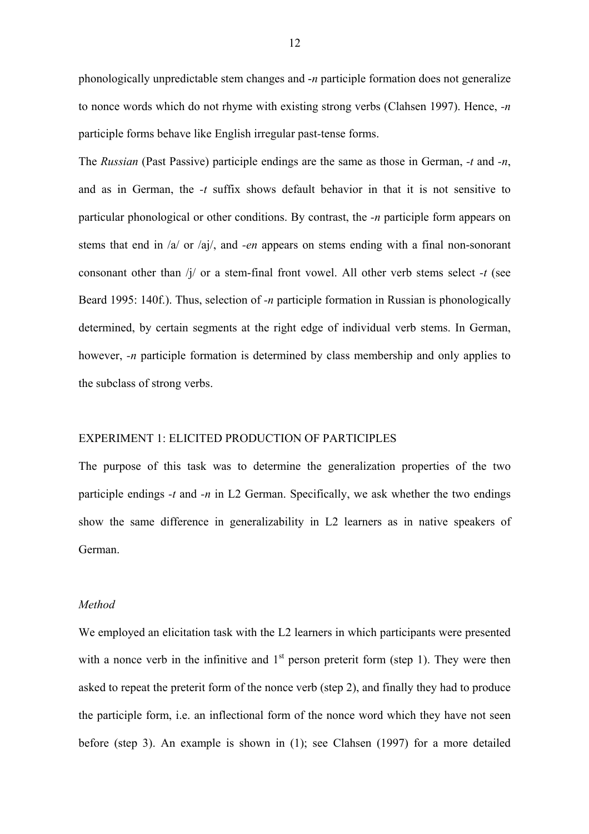phonologically unpredictable stem changes and -*n* participle formation does not generalize to nonce words which do not rhyme with existing strong verbs (Clahsen 1997). Hence, *-n* participle forms behave like English irregular past*-*tense forms.

The *Russian* (Past Passive) participle endings are the same as those in German, *-t* and *-n*, and as in German, the *-t* suffix shows default behavior in that it is not sensitive to particular phonological or other conditions. By contrast, the *-n* participle form appears on stems that end in /a/ or /aj/, and *-en* appears on stems ending with a final non-sonorant consonant other than /j/ or a stem-final front vowel. All other verb stems select *-t* (see Beard 1995: 140f.). Thus, selection of *-n* participle formation in Russian is phonologically determined, by certain segments at the right edge of individual verb stems. In German, however, *-n* participle formation is determined by class membership and only applies to the subclass of strong verbs.

# EXPERIMENT 1: ELICITED PRODUCTION OF PARTICIPLES

The purpose of this task was to determine the generalization properties of the two participle endings *-t* and *-n* in L2 German. Specifically, we ask whether the two endings show the same difference in generalizability in L2 learners as in native speakers of German.

# *Method*

We employed an elicitation task with the L2 learners in which participants were presented with a nonce verb in the infinitive and  $1<sup>st</sup>$  person preterit form (step 1). They were then asked to repeat the preterit form of the nonce verb (step 2), and finally they had to produce the participle form, i.e. an inflectional form of the nonce word which they have not seen before (step 3). An example is shown in (1); see Clahsen (1997) for a more detailed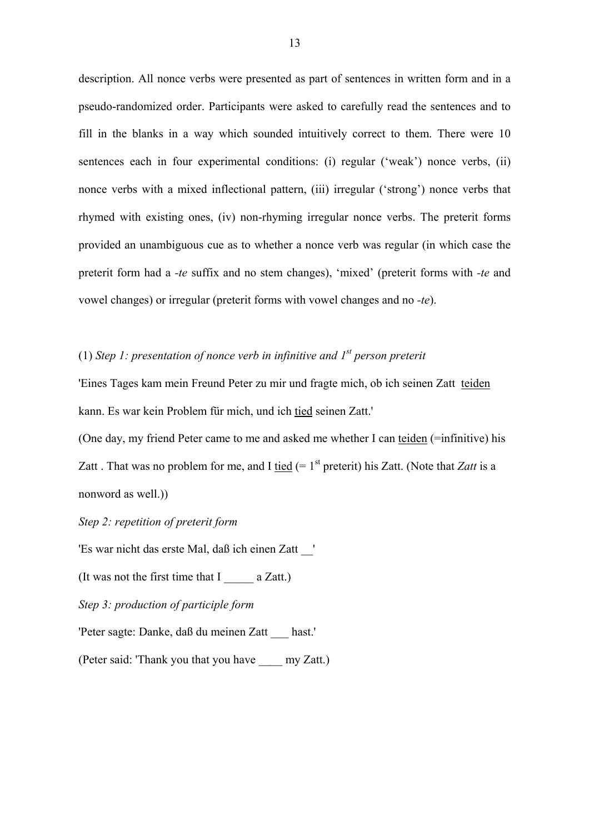description. All nonce verbs were presented as part of sentences in written form and in a pseudo-randomized order. Participants were asked to carefully read the sentences and to fill in the blanks in a way which sounded intuitively correct to them. There were 10 sentences each in four experimental conditions: (i) regular ('weak') nonce verbs, (ii) nonce verbs with a mixed inflectional pattern, (iii) irregular ('strong') nonce verbs that rhymed with existing ones, (iv) non-rhyming irregular nonce verbs. The preterit forms provided an unambiguous cue as to whether a nonce verb was regular (in which case the preterit form had a *-te* suffix and no stem changes), 'mixed' (preterit forms with *-te* and vowel changes) or irregular (preterit forms with vowel changes and no *-te*).

# (1) *Step 1: presentation of nonce verb in infinitive and 1st person preterit*

'Eines Tages kam mein Freund Peter zu mir und fragte mich, ob ich seinen Zatt teiden kann. Es war kein Problem für mich, und ich tied seinen Zatt.'

(One day, my friend Peter came to me and asked me whether I can teiden (=infinitive) his Zatt . That was no problem for me, and I tied  $(=1<sup>st</sup>$  preterit) his Zatt. (Note that *Zatt* is a nonword as well.))

*Step 2: repetition of preterit form* 

'Es war nicht das erste Mal, daß ich einen Zatt \_\_'

(It was not the first time that I  $a$  Zatt.)

*Step 3: production of participle form* 

'Peter sagte: Danke, daß du meinen Zatt \_\_\_ hast.'

(Peter said: 'Thank you that you have \_\_\_\_ my Zatt.)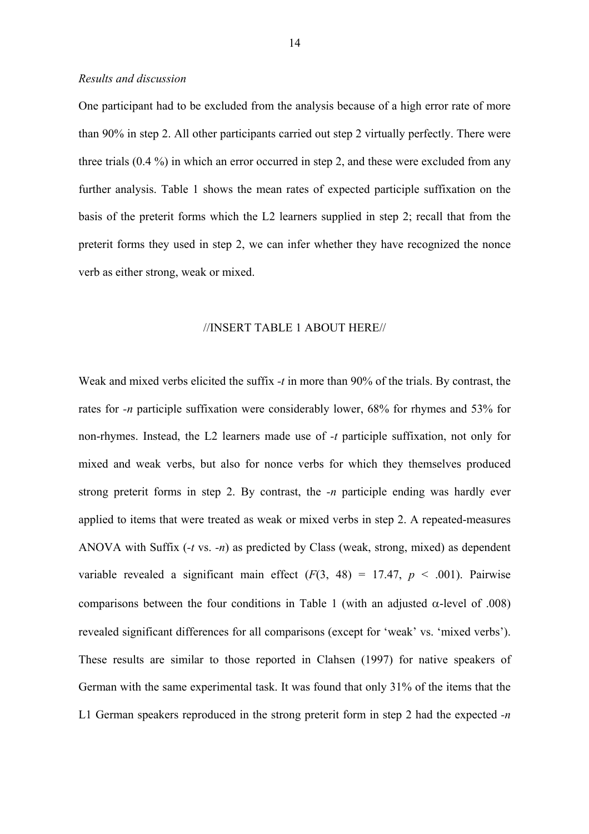#### *Results and discussion*

One participant had to be excluded from the analysis because of a high error rate of more than 90% in step 2. All other participants carried out step 2 virtually perfectly. There were three trials (0.4 %) in which an error occurred in step 2, and these were excluded from any further analysis. Table 1 shows the mean rates of expected participle suffixation on the basis of the preterit forms which the L2 learners supplied in step 2; recall that from the preterit forms they used in step 2, we can infer whether they have recognized the nonce verb as either strong, weak or mixed.

#### //INSERT TABLE 1 ABOUT HERE//

Weak and mixed verbs elicited the suffix *-t* in more than 90% of the trials. By contrast, the rates for *-n* participle suffixation were considerably lower, 68% for rhymes and 53% for non-rhymes. Instead, the L2 learners made use of *-t* participle suffixation, not only for mixed and weak verbs, but also for nonce verbs for which they themselves produced strong preterit forms in step 2. By contrast, the *-n* participle ending was hardly ever applied to items that were treated as weak or mixed verbs in step 2. A repeated-measures ANOVA with Suffix (*-t* vs. *-n*) as predicted by Class (weak, strong, mixed) as dependent variable revealed a significant main effect  $(F(3, 48) = 17.47, p < .001)$ . Pairwise comparisons between the four conditions in Table 1 (with an adjusted α-level of .008) revealed significant differences for all comparisons (except for 'weak' vs. 'mixed verbs'). These results are similar to those reported in Clahsen (1997) for native speakers of German with the same experimental task. It was found that only 31% of the items that the L1 German speakers reproduced in the strong preterit form in step 2 had the expected *-n*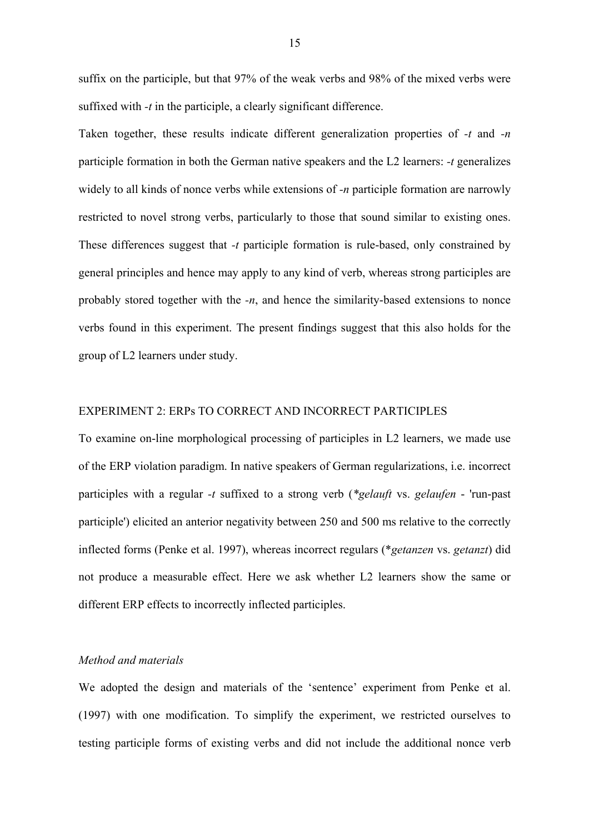suffix on the participle, but that 97% of the weak verbs and 98% of the mixed verbs were suffixed with *-t* in the participle, a clearly significant difference.

Taken together, these results indicate different generalization properties of *-t* and *-n* participle formation in both the German native speakers and the L2 learners: *-t* generalizes widely to all kinds of nonce verbs while extensions of *-n* participle formation are narrowly restricted to novel strong verbs, particularly to those that sound similar to existing ones. These differences suggest that *-t* participle formation is rule-based, only constrained by general principles and hence may apply to any kind of verb, whereas strong participles are probably stored together with the *-n*, and hence the similarity-based extensions to nonce verbs found in this experiment. The present findings suggest that this also holds for the group of L2 learners under study.

# EXPERIMENT 2: ERPs TO CORRECT AND INCORRECT PARTICIPLES

To examine on-line morphological processing of participles in L2 learners, we made use of the ERP violation paradigm. In native speakers of German regularizations, i.e. incorrect participles with a regular *-t* suffixed to a strong verb (*\*gelauft* vs. *gelaufen* - 'run-past participle') elicited an anterior negativity between 250 and 500 ms relative to the correctly inflected forms (Penke et al. 1997), whereas incorrect regulars (\**getanzen* vs. *getanzt*) did not produce a measurable effect. Here we ask whether L2 learners show the same or different ERP effects to incorrectly inflected participles.

# *Method and materials*

We adopted the design and materials of the 'sentence' experiment from Penke et al. (1997) with one modification. To simplify the experiment, we restricted ourselves to testing participle forms of existing verbs and did not include the additional nonce verb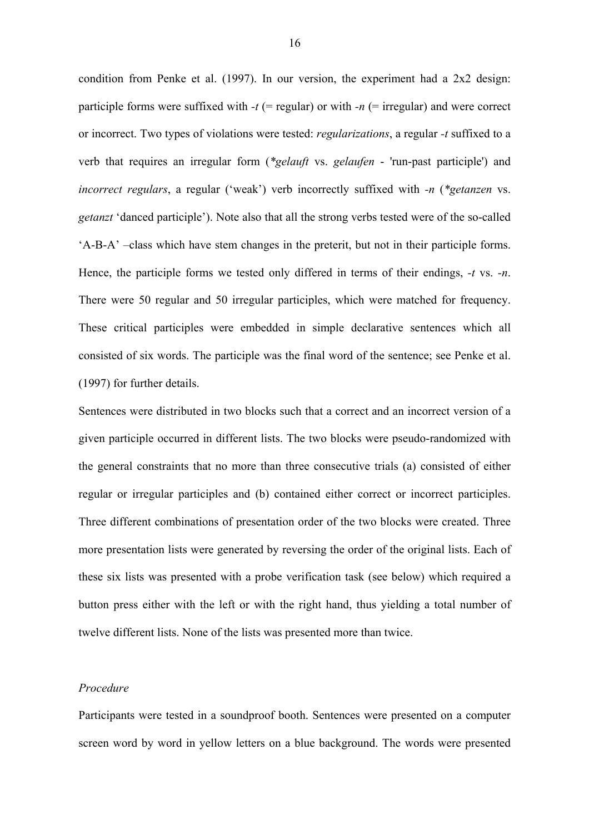condition from Penke et al. (1997). In our version, the experiment had a 2x2 design: participle forms were suffixed with  $-t$  (= regular) or with  $-n$  (= irregular) and were correct or incorrect. Two types of violations were tested: *regularizations*, a regular *-t* suffixed to a verb that requires an irregular form (*\*gelauft* vs. *gelaufen* - 'run-past participle') and *incorrect regulars*, a regular ('weak') verb incorrectly suffixed with *-n* (*\*getanzen* vs. *getanzt* 'danced participle'). Note also that all the strong verbs tested were of the so-called 'A-B-A' –class which have stem changes in the preterit, but not in their participle forms. Hence, the participle forms we tested only differed in terms of their endings, *-t* vs. *-n*. There were 50 regular and 50 irregular participles, which were matched for frequency. These critical participles were embedded in simple declarative sentences which all consisted of six words. The participle was the final word of the sentence; see Penke et al. (1997) for further details.

Sentences were distributed in two blocks such that a correct and an incorrect version of a given participle occurred in different lists. The two blocks were pseudo-randomized with the general constraints that no more than three consecutive trials (a) consisted of either regular or irregular participles and (b) contained either correct or incorrect participles. Three different combinations of presentation order of the two blocks were created. Three more presentation lists were generated by reversing the order of the original lists. Each of these six lists was presented with a probe verification task (see below) which required a button press either with the left or with the right hand, thus yielding a total number of twelve different lists. None of the lists was presented more than twice.

# *Procedure*

Participants were tested in a soundproof booth. Sentences were presented on a computer screen word by word in yellow letters on a blue background. The words were presented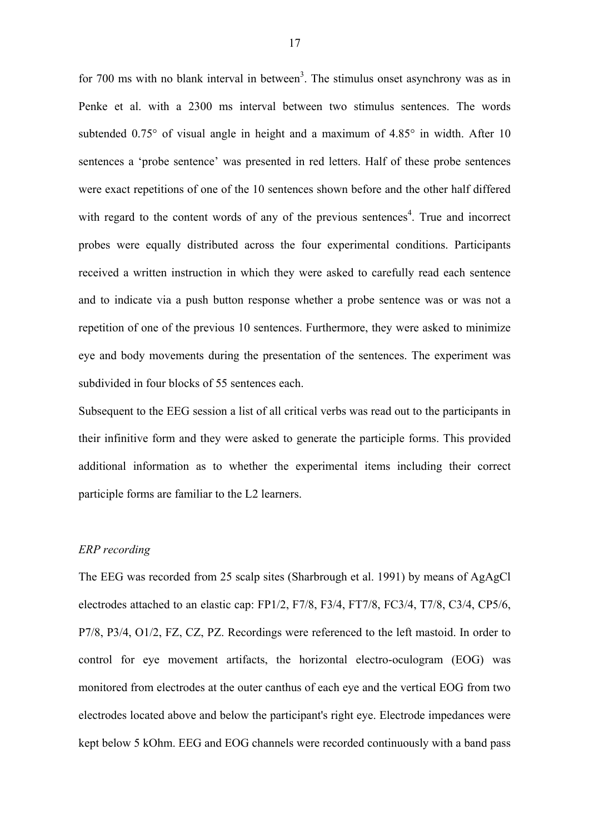for 700 ms with no blank interval in between<sup>3</sup>. The stimulus onset asynchrony was as in Penke et al. with a 2300 ms interval between two stimulus sentences. The words subtended 0.75° of visual angle in height and a maximum of 4.85° in width. After 10 sentences a 'probe sentence' was presented in red letters. Half of these probe sentences were exact repetitions of one of the 10 sentences shown before and the other half differed with regard to the content words of any of the previous sentences<sup>4</sup>. True and incorrect probes were equally distributed across the four experimental conditions. Participants received a written instruction in which they were asked to carefully read each sentence and to indicate via a push button response whether a probe sentence was or was not a repetition of one of the previous 10 sentences. Furthermore, they were asked to minimize eye and body movements during the presentation of the sentences. The experiment was subdivided in four blocks of 55 sentences each.

Subsequent to the EEG session a list of all critical verbs was read out to the participants in their infinitive form and they were asked to generate the participle forms. This provided additional information as to whether the experimental items including their correct participle forms are familiar to the L2 learners.

# *ERP recording*

The EEG was recorded from 25 scalp sites (Sharbrough et al. 1991) by means of AgAgCl electrodes attached to an elastic cap: FP1/2, F7/8, F3/4, FT7/8, FC3/4, T7/8, C3/4, CP5/6, P7/8, P3/4, O1/2, FZ, CZ, PZ. Recordings were referenced to the left mastoid. In order to control for eye movement artifacts, the horizontal electro-oculogram (EOG) was monitored from electrodes at the outer canthus of each eye and the vertical EOG from two electrodes located above and below the participant's right eye. Electrode impedances were kept below 5 kOhm. EEG and EOG channels were recorded continuously with a band pass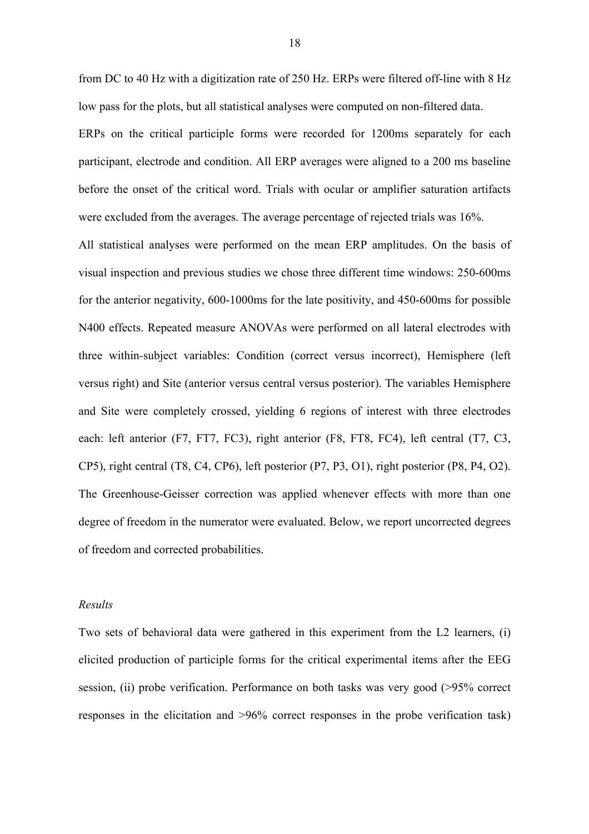from DC to 40 Hz with a digitization rate of 250 Hz. ERPs were filtered off-line with 8 Hz low pass for the plots, but all statistical analyses were computed on non-filtered data.

ERPs on the critical participle forms were recorded for 1200ms separately for each participant, electrode and condition. All ERP averages were aligned to a 200 ms baseline before the onset of the critical word. Trials with ocular or amplifier saturation artifacts were excluded from the averages. The average percentage of rejected trials was 16%.

All statistical analyses were performed on the mean ERP amplitudes. On the basis of visual inspection and previous studies we chose three different time windows: 250-600ms for the anterior negativity, 600-1000ms for the late positivity, and 450-600ms for possible N400 effects. Repeated measure ANOVAs were performed on all lateral electrodes with three within*-*subject variables: Condition (correct versus incorrect), Hemisphere (left versus right) and Site (anterior versus central versus posterior). The variables Hemisphere and Site were completely crossed, yielding 6 regions of interest with three electrodes each: left anterior (F7, FT7, FC3), right anterior (F8, FT8, FC4), left central (T7, C3, CP5), right central (T8, C4, CP6), left posterior (P7, P3, O1), right posterior (P8, P4, O2). The Greenhouse-Geisser correction was applied whenever effects with more than one degree of freedom in the numerator were evaluated. Below, we report uncorrected degrees of freedom and corrected probabilities.

# *Results*

Two sets of behavioral data were gathered in this experiment from the L2 learners, (i) elicited production of participle forms for the critical experimental items after the EEG session, (ii) probe verification. Performance on both tasks was very good (>95% correct responses in the elicitation and >96% correct responses in the probe verification task)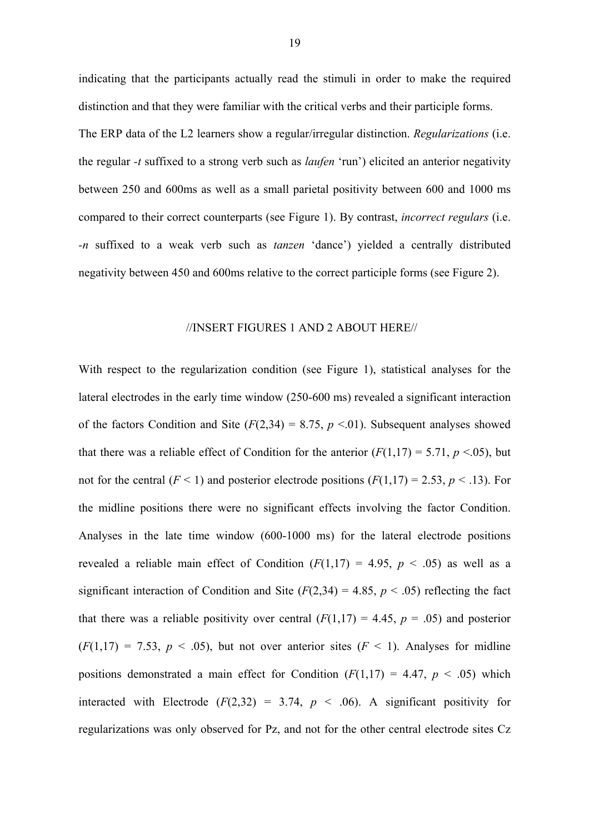indicating that the participants actually read the stimuli in order to make the required distinction and that they were familiar with the critical verbs and their participle forms. The ERP data of the L2 learners show a regular/irregular distinction. *Regularizations* (i.e. the regular *-t* suffixed to a strong verb such as *laufen* 'run') elicited an anterior negativity between 250 and 600ms as well as a small parietal positivity between 600 and 1000 ms compared to their correct counterparts (see Figure 1). By contrast, *incorrect regulars* (i.e. *-n* suffixed to a weak verb such as *tanzen* 'dance') yielded a centrally distributed negativity between 450 and 600ms relative to the correct participle forms (see Figure 2).

#### //INSERT FIGURES 1 AND 2 ABOUT HERE//

With respect to the regularization condition (see Figure 1), statistical analyses for the lateral electrodes in the early time window (250-600 ms) revealed a significant interaction of the factors Condition and Site  $(F(2,34) = 8.75, p \le 0.01)$ . Subsequent analyses showed that there was a reliable effect of Condition for the anterior  $(F(1,17) = 5.71, p \le 0.05)$ , but not for the central ( $F < 1$ ) and posterior electrode positions ( $F(1,17) = 2.53$ ,  $p < .13$ ). For the midline positions there were no significant effects involving the factor Condition. Analyses in the late time window (600-1000 ms) for the lateral electrode positions revealed a reliable main effect of Condition  $(F(1,17) = 4.95, p < .05)$  as well as a significant interaction of Condition and Site  $(F(2,34) = 4.85, p \le .05)$  reflecting the fact that there was a reliable positivity over central  $(F(1,17) = 4.45, p = .05)$  and posterior  $(F(1,17) = 7.53, p < .05)$ , but not over anterior sites  $(F < 1)$ . Analyses for midline positions demonstrated a main effect for Condition  $(F(1,17) = 4.47, p < .05)$  which interacted with Electrode  $(F(2,32) = 3.74, p < .06)$ . A significant positivity for regularizations was only observed for Pz, and not for the other central electrode sites Cz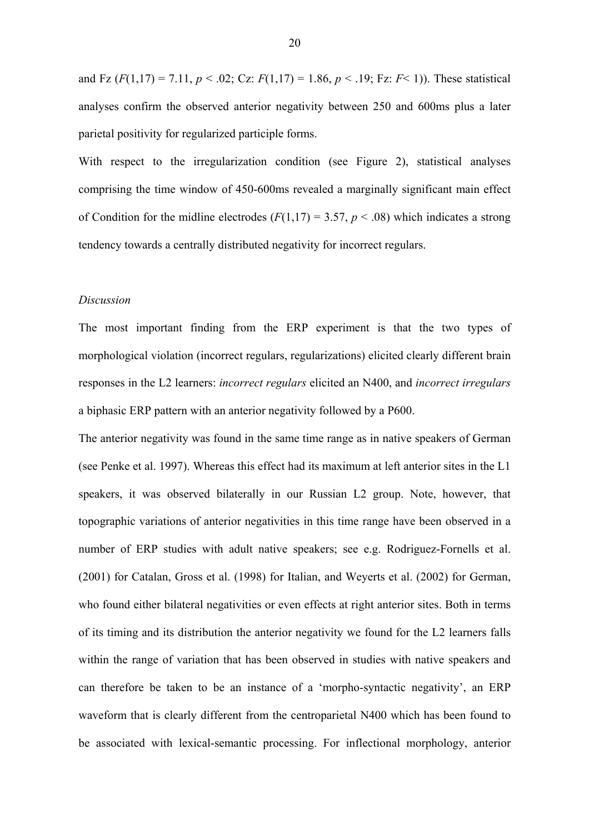and Fz  $(F(1,17) = 7.11, p < .02$ ; Cz:  $F(1,17) = 1.86, p < .19$ ; Fz:  $F< 1$ )). These statistical analyses confirm the observed anterior negativity between 250 and 600ms plus a later parietal positivity for regularized participle forms.

With respect to the irregularization condition (see Figure 2), statistical analyses comprising the time window of 450-600ms revealed a marginally significant main effect of Condition for the midline electrodes  $(F(1,17) = 3.57, p < .08)$  which indicates a strong tendency towards a centrally distributed negativity for incorrect regulars.

#### *Discussion*

The most important finding from the ERP experiment is that the two types of morphological violation (incorrect regulars, regularizations) elicited clearly different brain responses in the L2 learners: *incorrect regulars* elicited an N400, and *incorrect irregulars* a biphasic ERP pattern with an anterior negativity followed by a P600.

The anterior negativity was found in the same time range as in native speakers of German (see Penke et al. 1997). Whereas this effect had its maximum at left anterior sites in the L1 speakers, it was observed bilaterally in our Russian L2 group. Note, however, that topographic variations of anterior negativities in this time range have been observed in a number of ERP studies with adult native speakers; see e.g. Rodriguez-Fornells et al. (2001) for Catalan, Gross et al. (1998) for Italian, and Weyerts et al. (2002) for German, who found either bilateral negativities or even effects at right anterior sites. Both in terms of its timing and its distribution the anterior negativity we found for the L2 learners falls within the range of variation that has been observed in studies with native speakers and can therefore be taken to be an instance of a 'morpho-syntactic negativity', an ERP waveform that is clearly different from the centroparietal N400 which has been found to be associated with lexical-semantic processing. For inflectional morphology, anterior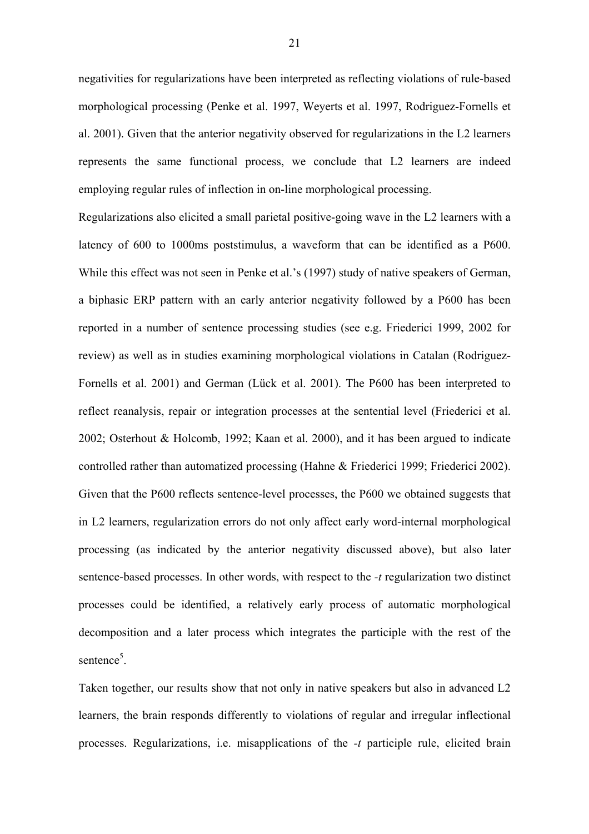negativities for regularizations have been interpreted as reflecting violations of rule-based morphological processing (Penke et al. 1997, Weyerts et al. 1997, Rodriguez-Fornells et al. 2001). Given that the anterior negativity observed for regularizations in the L2 learners represents the same functional process, we conclude that L2 learners are indeed employing regular rules of inflection in on-line morphological processing.

Regularizations also elicited a small parietal positive-going wave in the L2 learners with a latency of 600 to 1000ms poststimulus, a waveform that can be identified as a P600. While this effect was not seen in Penke et al.'s (1997) study of native speakers of German, a biphasic ERP pattern with an early anterior negativity followed by a P600 has been reported in a number of sentence processing studies (see e.g. Friederici 1999, 2002 for review) as well as in studies examining morphological violations in Catalan (Rodriguez-Fornells et al. 2001) and German (Lück et al. 2001). The P600 has been interpreted to reflect reanalysis, repair or integration processes at the sentential level (Friederici et al. 2002; Osterhout & Holcomb, 1992; Kaan et al. 2000), and it has been argued to indicate controlled rather than automatized processing (Hahne & Friederici 1999; Friederici 2002). Given that the P600 reflects sentence-level processes, the P600 we obtained suggests that in L2 learners, regularization errors do not only affect early word-internal morphological processing (as indicated by the anterior negativity discussed above), but also later sentence-based processes. In other words, with respect to the *-t* regularization two distinct processes could be identified, a relatively early process of automatic morphological decomposition and a later process which integrates the participle with the rest of the sentence<sup>5</sup>.

Taken together, our results show that not only in native speakers but also in advanced L2 learners, the brain responds differently to violations of regular and irregular inflectional processes. Regularizations, i.e. misapplications of the *-t* participle rule, elicited brain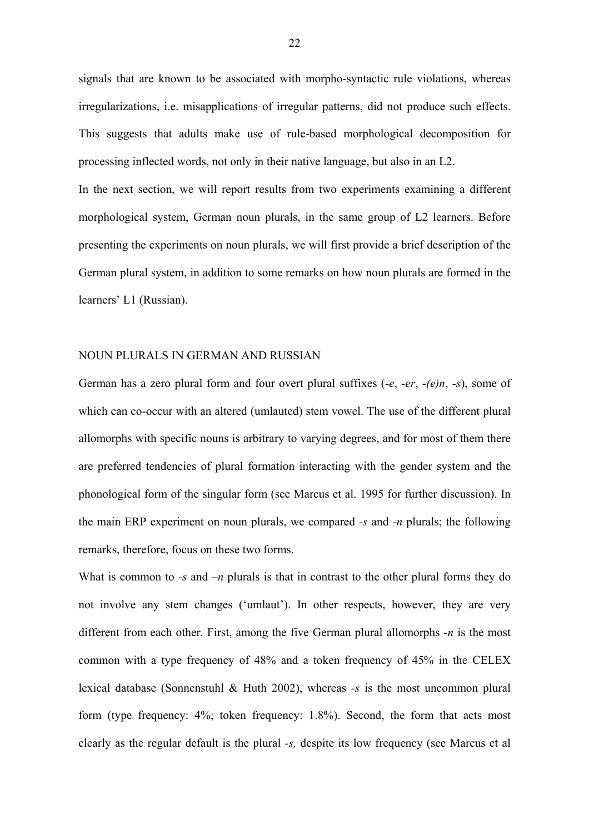signals that are known to be associated with morpho-syntactic rule violations, whereas irregularizations, i.e. misapplications of irregular patterns, did not produce such effects. This suggests that adults make use of rule-based morphological decomposition for processing inflected words, not only in their native language, but also in an L2.

In the next section, we will report results from two experiments examining a different morphological system, German noun plurals, in the same group of L2 learners. Before presenting the experiments on noun plurals, we will first provide a brief description of the German plural system, in addition to some remarks on how noun plurals are formed in the learners' L1 (Russian).

#### NOUN PLURALS IN GERMAN AND RUSSIAN

German has a zero plural form and four overt plural suffixes (-*e*, *-er*, -*(e)n*, *-s*), some of which can co-occur with an altered (umlauted) stem vowel. The use of the different plural allomorphs with specific nouns is arbitrary to varying degrees, and for most of them there are preferred tendencies of plural formation interacting with the gender system and the phonological form of the singular form (see Marcus et al. 1995 for further discussion). In the main ERP experiment on noun plurals, we compared *-s* and *-n* plurals; the following remarks, therefore, focus on these two forms.

What is common to *-s* and *-n* plurals is that in contrast to the other plural forms they do not involve any stem changes ('umlaut'). In other respects, however, they are very different from each other. First, among the five German plural allomorphs *-n* is the most common with a type frequency of 48% and a token frequency of 45% in the CELEX lexical database (Sonnenstuhl & Huth 2002), whereas *-s* is the most uncommon plural form (type frequency: 4%; token frequency: 1.8%). Second, the form that acts most clearly as the regular default is the plural *-s,* despite its low frequency (see Marcus et al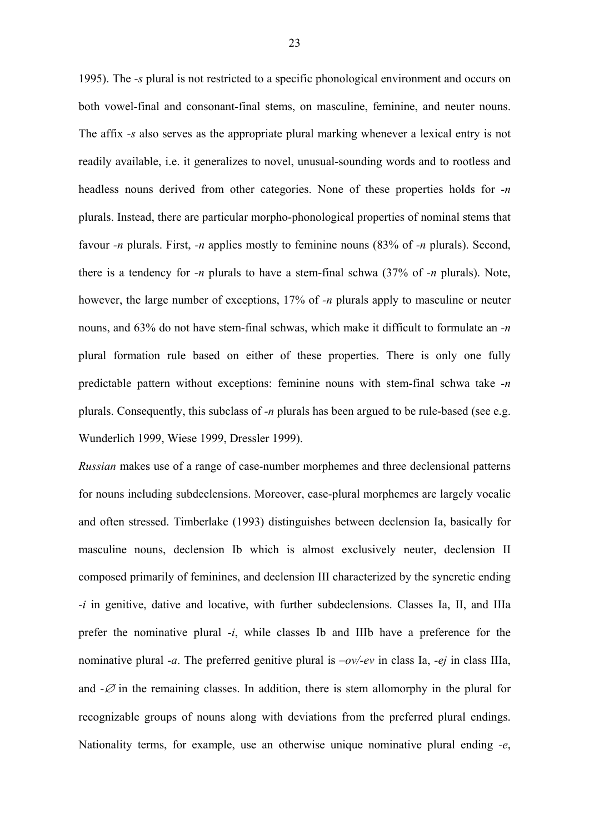1995). The *-s* plural is not restricted to a specific phonological environment and occurs on both vowel-final and consonant-final stems, on masculine, feminine, and neuter nouns. The affix *-s* also serves as the appropriate plural marking whenever a lexical entry is not readily available, i.e. it generalizes to novel, unusual-sounding words and to rootless and headless nouns derived from other categories. None of these properties holds for *-n* plurals. Instead, there are particular morpho-phonological properties of nominal stems that favour *-n* plurals. First, *-n* applies mostly to feminine nouns (83% of *-n* plurals). Second, there is a tendency for *-n* plurals to have a stem-final schwa (37% of *-n* plurals). Note, however, the large number of exceptions, 17% of *-n* plurals apply to masculine or neuter nouns, and 63% do not have stem-final schwas, which make it difficult to formulate an *-n* plural formation rule based on either of these properties. There is only one fully predictable pattern without exceptions: feminine nouns with stem-final schwa take *-n*  plurals. Consequently, this subclass of *-n* plurals has been argued to be rule-based (see e.g. Wunderlich 1999, Wiese 1999, Dressler 1999).

*Russian* makes use of a range of case*-*number morphemes and three declensional patterns for nouns including subdeclensions. Moreover, case-plural morphemes are largely vocalic and often stressed. Timberlake (1993) distinguishes between declension Ia, basically for masculine nouns, declension Ib which is almost exclusively neuter, declension II composed primarily of feminines, and declension III characterized by the syncretic ending *-i* in genitive, dative and locative, with further subdeclensions. Classes Ia, II, and IIIa prefer the nominative plural *-i*, while classes Ib and IIIb have a preference for the nominative plural *-a*. The preferred genitive plural is *–ov/-ev* in class Ia, *-ej* in class IIIa, and  $-\varnothing$  in the remaining classes. In addition, there is stem allomorphy in the plural for recognizable groups of nouns along with deviations from the preferred plural endings. Nationality terms, for example, use an otherwise unique nominative plural ending *-e*,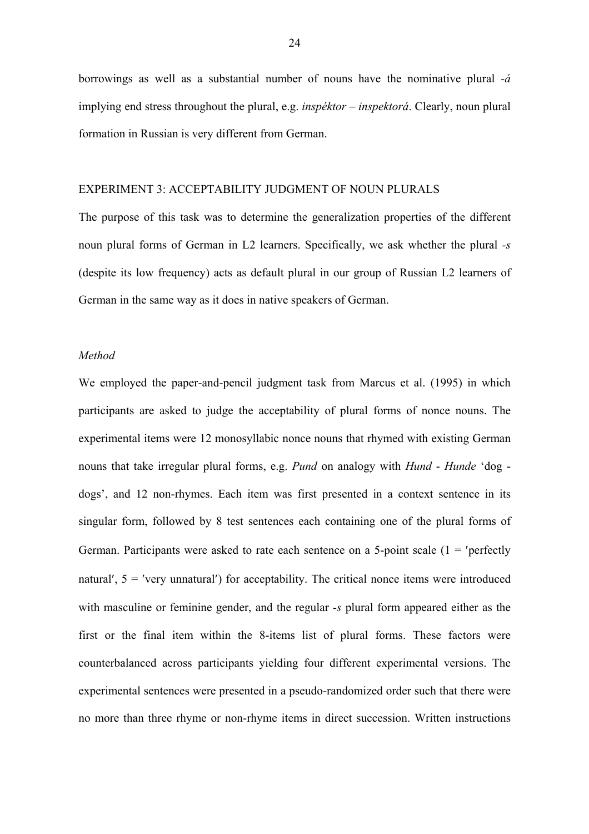borrowings as well as a substantial number of nouns have the nominative plural *-á* implying end stress throughout the plural, e.g. *inspéktor – inspektorá*. Clearly, noun plural formation in Russian is very different from German.

# EXPERIMENT 3: ACCEPTABILITY JUDGMENT OF NOUN PLURALS

The purpose of this task was to determine the generalization properties of the different noun plural forms of German in L2 learners. Specifically, we ask whether the plural *-s* (despite its low frequency) acts as default plural in our group of Russian L2 learners of German in the same way as it does in native speakers of German.

#### *Method*

We employed the paper-and-pencil judgment task from Marcus et al. (1995) in which participants are asked to judge the acceptability of plural forms of nonce nouns. The experimental items were 12 monosyllabic nonce nouns that rhymed with existing German nouns that take irregular plural forms, e.g. *Pund* on analogy with *Hund* - *Hunde* 'dog dogs', and 12 non-rhymes. Each item was first presented in a context sentence in its singular form, followed by 8 test sentences each containing one of the plural forms of German. Participants were asked to rate each sentence on a 5-point scale  $(1 = 'perfectly')$ natural',  $5 =$ 'very unnatural') for acceptability. The critical nonce items were introduced with masculine or feminine gender, and the regular *-s* plural form appeared either as the first or the final item within the 8-items list of plural forms. These factors were counterbalanced across participants yielding four different experimental versions. The experimental sentences were presented in a pseudo-randomized order such that there were no more than three rhyme or non-rhyme items in direct succession. Written instructions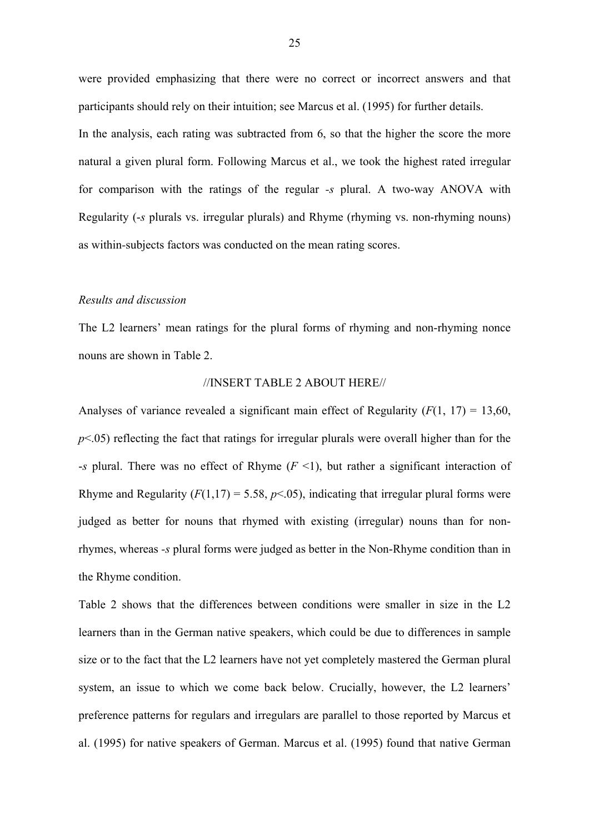were provided emphasizing that there were no correct or incorrect answers and that participants should rely on their intuition; see Marcus et al. (1995) for further details. In the analysis, each rating was subtracted from 6, so that the higher the score the more natural a given plural form. Following Marcus et al., we took the highest rated irregular for comparison with the ratings of the regular *-s* plural. A two-way ANOVA with Regularity (-*s* plurals vs. irregular plurals) and Rhyme (rhyming vs. non-rhyming nouns) as within*-*subjects factors was conducted on the mean rating scores.

#### *Results and discussion*

The L2 learners' mean ratings for the plural forms of rhyming and non-rhyming nonce nouns are shown in Table 2.

#### //INSERT TABLE 2 ABOUT HERE//

Analyses of variance revealed a significant main effect of Regularity  $(F(1, 17) = 13,60,$ *p*<.05) reflecting the fact that ratings for irregular plurals were overall higher than for the -*s* plural. There was no effect of Rhyme (*F* <1), but rather a significant interaction of Rhyme and Regularity  $(F(1,17) = 5.58, p<0.05)$ , indicating that irregular plural forms were judged as better for nouns that rhymed with existing (irregular) nouns than for nonrhymes, whereas *-s* plural forms were judged as better in the Non-Rhyme condition than in the Rhyme condition.

Table 2 shows that the differences between conditions were smaller in size in the L2 learners than in the German native speakers, which could be due to differences in sample size or to the fact that the L2 learners have not yet completely mastered the German plural system, an issue to which we come back below. Crucially, however, the L2 learners' preference patterns for regulars and irregulars are parallel to those reported by Marcus et al. (1995) for native speakers of German. Marcus et al. (1995) found that native German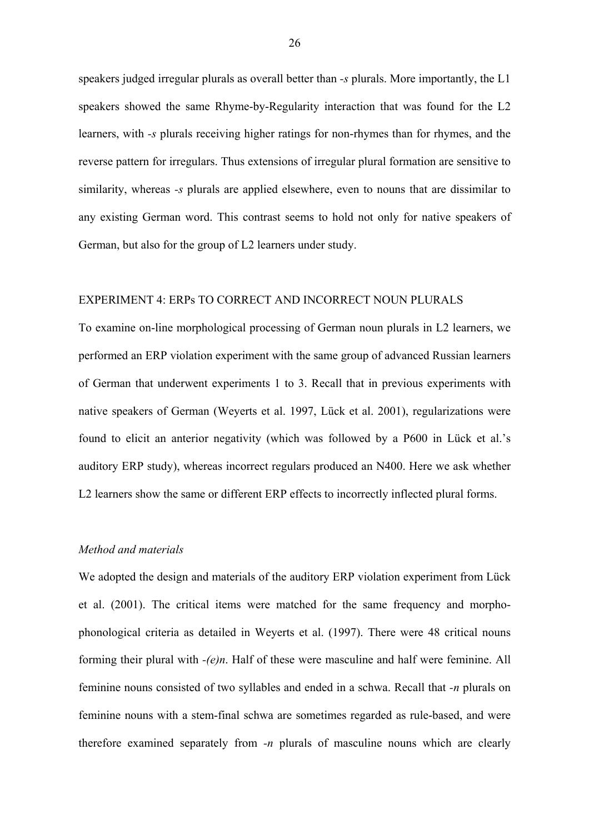speakers judged irregular plurals as overall better than *-s* plurals. More importantly, the L1 speakers showed the same Rhyme-by-Regularity interaction that was found for the L2 learners, with *-s* plurals receiving higher ratings for non-rhymes than for rhymes, and the reverse pattern for irregulars. Thus extensions of irregular plural formation are sensitive to similarity, whereas *-s* plurals are applied elsewhere, even to nouns that are dissimilar to any existing German word. This contrast seems to hold not only for native speakers of German, but also for the group of L2 learners under study.

#### EXPERIMENT 4: ERPs TO CORRECT AND INCORRECT NOUN PLURALS

To examine on-line morphological processing of German noun plurals in L2 learners, we performed an ERP violation experiment with the same group of advanced Russian learners of German that underwent experiments 1 to 3. Recall that in previous experiments with native speakers of German (Weyerts et al. 1997, Lück et al. 2001), regularizations were found to elicit an anterior negativity (which was followed by a P600 in Lück et al.'s auditory ERP study), whereas incorrect regulars produced an N400. Here we ask whether L2 learners show the same or different ERP effects to incorrectly inflected plural forms.

# *Method and materials*

We adopted the design and materials of the auditory ERP violation experiment from Lück et al. (2001). The critical items were matched for the same frequency and morphophonological criteria as detailed in Weyerts et al. (1997). There were 48 critical nouns forming their plural with *-(e)n*. Half of these were masculine and half were feminine. All feminine nouns consisted of two syllables and ended in a schwa. Recall that *-n* plurals on feminine nouns with a stem-final schwa are sometimes regarded as rule-based, and were therefore examined separately from *-n* plurals of masculine nouns which are clearly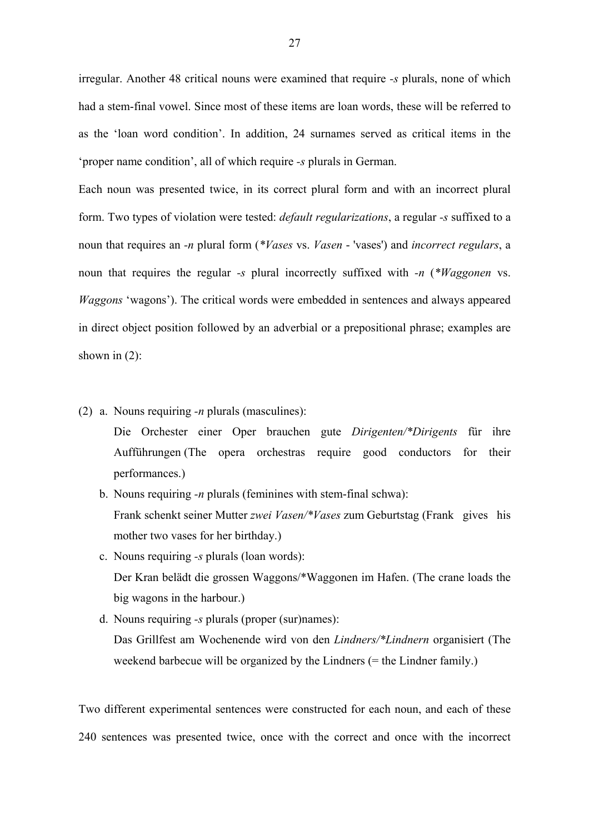irregular. Another 48 critical nouns were examined that require *-s* plurals, none of which had a stem-final vowel. Since most of these items are loan words, these will be referred to as the 'loan word condition'. In addition, 24 surnames served as critical items in the 'proper name condition', all of which require *-s* plurals in German.

Each noun was presented twice, in its correct plural form and with an incorrect plural form. Two types of violation were tested: *default regularizations*, a regular *-s* suffixed to a noun that requires an *-n* plural form (*\*Vases* vs. *Vasen* - 'vases') and *incorrect regulars*, a noun that requires the regular *-s* plural incorrectly suffixed with *-n* (*\*Waggonen* vs. *Waggons* 'wagons'). The critical words were embedded in sentences and always appeared in direct object position followed by an adverbial or a prepositional phrase; examples are shown in  $(2)$ :

- (2) a. Nouns requiring *-n* plurals (masculines):
	- Die Orchester einer Oper brauchen gute *Dirigenten/\*Dirigents* für ihre Aufführungen (The opera orchestras require good conductors for their performances.)
	- b. Nouns requiring *-n* plurals (feminines with stem-final schwa): Frank schenkt seiner Mutter *zwei Vasen/\*Vases* zum Geburtstag (Frank gives his mother two vases for her birthday.)
	- c. Nouns requiring *-s* plurals (loan words): Der Kran belädt die grossen Waggons/\*Waggonen im Hafen. (The crane loads the big wagons in the harbour.)
	- d. Nouns requiring *-s* plurals (proper (sur)names): Das Grillfest am Wochenende wird von den *Lindners/\*Lindnern* organisiert (The weekend barbecue will be organized by the Lindners (= the Lindner family.)

Two different experimental sentences were constructed for each noun, and each of these 240 sentences was presented twice, once with the correct and once with the incorrect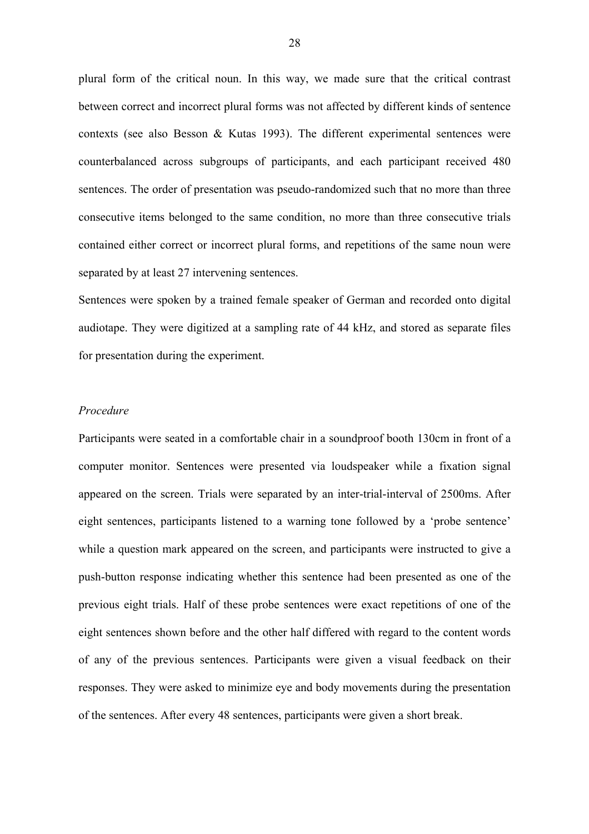plural form of the critical noun. In this way, we made sure that the critical contrast between correct and incorrect plural forms was not affected by different kinds of sentence contexts (see also Besson & Kutas 1993). The different experimental sentences were counterbalanced across subgroups of participants, and each participant received 480 sentences. The order of presentation was pseudo-randomized such that no more than three consecutive items belonged to the same condition, no more than three consecutive trials contained either correct or incorrect plural forms, and repetitions of the same noun were separated by at least 27 intervening sentences.

Sentences were spoken by a trained female speaker of German and recorded onto digital audiotape. They were digitized at a sampling rate of 44 kHz, and stored as separate files for presentation during the experiment.

#### *Procedure*

Participants were seated in a comfortable chair in a soundproof booth 130cm in front of a computer monitor. Sentences were presented via loudspeaker while a fixation signal appeared on the screen. Trials were separated by an inter-trial-interval of 2500ms. After eight sentences, participants listened to a warning tone followed by a 'probe sentence' while a question mark appeared on the screen, and participants were instructed to give a push-button response indicating whether this sentence had been presented as one of the previous eight trials. Half of these probe sentences were exact repetitions of one of the eight sentences shown before and the other half differed with regard to the content words of any of the previous sentences. Participants were given a visual feedback on their responses. They were asked to minimize eye and body movements during the presentation of the sentences. After every 48 sentences, participants were given a short break.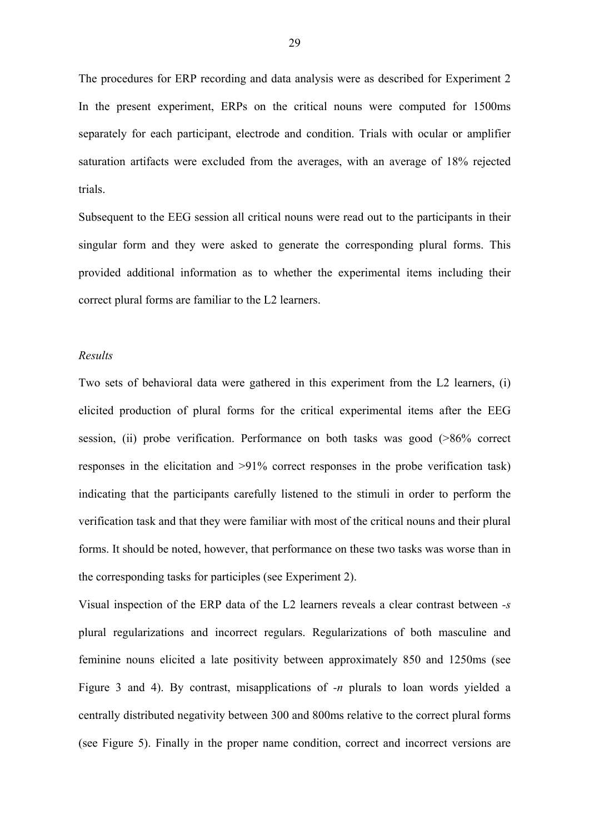The procedures for ERP recording and data analysis were as described for Experiment 2 In the present experiment, ERPs on the critical nouns were computed for 1500ms separately for each participant, electrode and condition. Trials with ocular or amplifier saturation artifacts were excluded from the averages, with an average of 18% rejected trials.

Subsequent to the EEG session all critical nouns were read out to the participants in their singular form and they were asked to generate the corresponding plural forms. This provided additional information as to whether the experimental items including their correct plural forms are familiar to the L2 learners.

#### *Results*

Two sets of behavioral data were gathered in this experiment from the L2 learners, (i) elicited production of plural forms for the critical experimental items after the EEG session, (ii) probe verification. Performance on both tasks was good (>86% correct responses in the elicitation and >91% correct responses in the probe verification task) indicating that the participants carefully listened to the stimuli in order to perform the verification task and that they were familiar with most of the critical nouns and their plural forms. It should be noted, however, that performance on these two tasks was worse than in the corresponding tasks for participles (see Experiment 2).

Visual inspection of the ERP data of the L2 learners reveals a clear contrast between *-s* plural regularizations and incorrect regulars. Regularizations of both masculine and feminine nouns elicited a late positivity between approximately 850 and 1250ms (see Figure 3 and 4). By contrast, misapplications of *-n* plurals to loan words yielded a centrally distributed negativity between 300 and 800ms relative to the correct plural forms (see Figure 5). Finally in the proper name condition, correct and incorrect versions are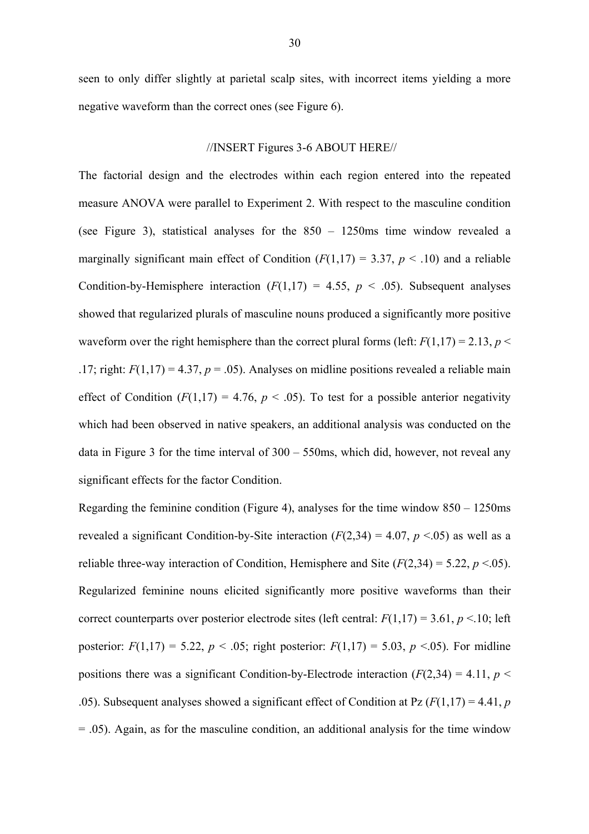seen to only differ slightly at parietal scalp sites, with incorrect items yielding a more negative waveform than the correct ones (see Figure 6).

# //INSERT Figures 3-6 ABOUT HERE//

The factorial design and the electrodes within each region entered into the repeated measure ANOVA were parallel to Experiment 2. With respect to the masculine condition (see Figure 3), statistical analyses for the 850 – 1250ms time window revealed a marginally significant main effect of Condition  $(F(1,17) = 3.37, p < .10)$  and a reliable Condition-by-Hemisphere interaction  $(F(1,17) = 4.55, p \le .05)$ . Subsequent analyses showed that regularized plurals of masculine nouns produced a significantly more positive waveform over the right hemisphere than the correct plural forms (left:  $F(1,17) = 2.13$ ,  $p \le$ .17; right:  $F(1,17) = 4.37$ ,  $p = .05$ ). Analyses on midline positions revealed a reliable main effect of Condition  $(F(1,17) = 4.76, p < .05)$ . To test for a possible anterior negativity which had been observed in native speakers, an additional analysis was conducted on the data in Figure 3 for the time interval of 300 – 550ms, which did, however, not reveal any significant effects for the factor Condition.

Regarding the feminine condition (Figure 4), analyses for the time window  $850 - 1250$  ms revealed a significant Condition-by-Site interaction  $(F(2,34) = 4.07, p \le 0.05)$  as well as a reliable three-way interaction of Condition, Hemisphere and Site  $(F(2,34) = 5.22, p \le 0.05)$ . Regularized feminine nouns elicited significantly more positive waveforms than their correct counterparts over posterior electrode sites (left central:  $F(1,17) = 3.61$ ,  $p < 10$ ; left posterior:  $F(1,17) = 5.22$ ,  $p < .05$ ; right posterior:  $F(1,17) = 5.03$ ,  $p < .05$ ). For midline positions there was a significant Condition-by-Electrode interaction  $(F(2,34) = 4.11, p \le$ .05). Subsequent analyses showed a significant effect of Condition at Pz (*F*(1,17) = 4.41, *p* = .05). Again, as for the masculine condition, an additional analysis for the time window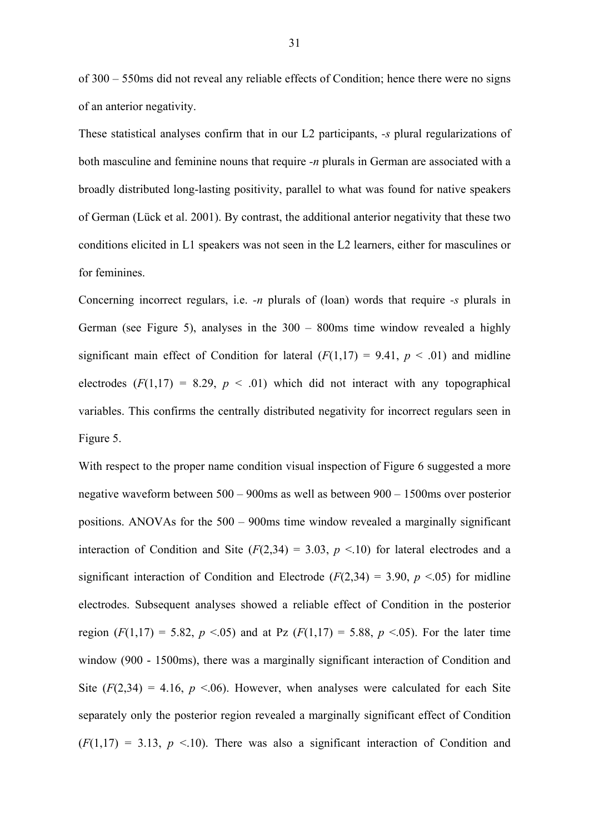of 300 – 550ms did not reveal any reliable effects of Condition; hence there were no signs of an anterior negativity.

These statistical analyses confirm that in our L2 participants, *-s* plural regularizations of both masculine and feminine nouns that require *-n* plurals in German are associated with a broadly distributed long-lasting positivity, parallel to what was found for native speakers of German (Lück et al. 2001). By contrast, the additional anterior negativity that these two conditions elicited in L1 speakers was not seen in the L2 learners, either for masculines or for feminines.

Concerning incorrect regulars, i.e. *-n* plurals of (loan) words that require *-s* plurals in German (see Figure 5), analyses in the 300 – 800ms time window revealed a highly significant main effect of Condition for lateral  $(F(1,17) = 9.41, p < .01)$  and midline electrodes  $(F(1,17) = 8.29, p < .01)$  which did not interact with any topographical variables. This confirms the centrally distributed negativity for incorrect regulars seen in Figure 5.

With respect to the proper name condition visual inspection of Figure 6 suggested a more negative waveform between 500 – 900ms as well as between 900 – 1500ms over posterior positions. ANOVAs for the 500 – 900ms time window revealed a marginally significant interaction of Condition and Site  $(F(2,34) = 3.03, p \le 10)$  for lateral electrodes and a significant interaction of Condition and Electrode ( $F(2,34) = 3.90$ ,  $p \le 0.05$ ) for midline electrodes. Subsequent analyses showed a reliable effect of Condition in the posterior region  $(F(1,17) = 5.82, p \le 0.05)$  and at Pz  $(F(1,17) = 5.88, p \le 0.05)$ . For the later time window (900 - 1500ms), there was a marginally significant interaction of Condition and Site  $(F(2,34) = 4.16, p \le 06)$ . However, when analyses were calculated for each Site separately only the posterior region revealed a marginally significant effect of Condition  $(F(1,17) = 3.13, p \le 10)$ . There was also a significant interaction of Condition and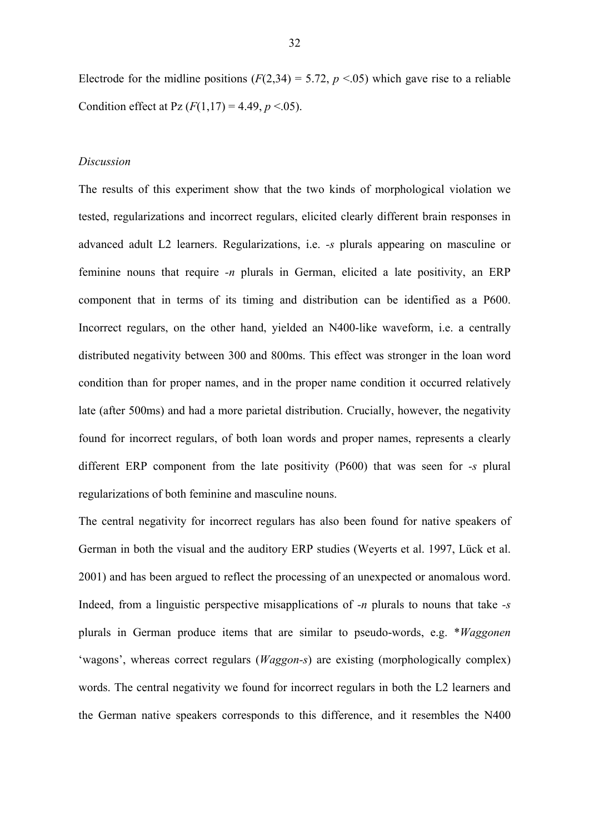Electrode for the midline positions  $(F(2,34) = 5.72, p \le 0.05)$  which gave rise to a reliable Condition effect at Pz  $(F(1,17) = 4.49, p < 0.05)$ .

## *Discussion*

The results of this experiment show that the two kinds of morphological violation we tested, regularizations and incorrect regulars, elicited clearly different brain responses in advanced adult L2 learners. Regularizations, i.e. *-s* plurals appearing on masculine or feminine nouns that require *-n* plurals in German, elicited a late positivity, an ERP component that in terms of its timing and distribution can be identified as a P600. Incorrect regulars, on the other hand, yielded an N400-like waveform, i.e. a centrally distributed negativity between 300 and 800ms. This effect was stronger in the loan word condition than for proper names, and in the proper name condition it occurred relatively late (after 500ms) and had a more parietal distribution. Crucially, however, the negativity found for incorrect regulars, of both loan words and proper names, represents a clearly different ERP component from the late positivity (P600) that was seen for *-s* plural regularizations of both feminine and masculine nouns.

The central negativity for incorrect regulars has also been found for native speakers of German in both the visual and the auditory ERP studies (Weyerts et al. 1997, Lück et al. 2001) and has been argued to reflect the processing of an unexpected or anomalous word. Indeed, from a linguistic perspective misapplications of *-n* plurals to nouns that take *-s*  plurals in German produce items that are similar to pseudo-words, e.g. \**Waggonen*  'wagons', whereas correct regulars (*Waggon-s*) are existing (morphologically complex) words. The central negativity we found for incorrect regulars in both the L2 learners and the German native speakers corresponds to this difference, and it resembles the N400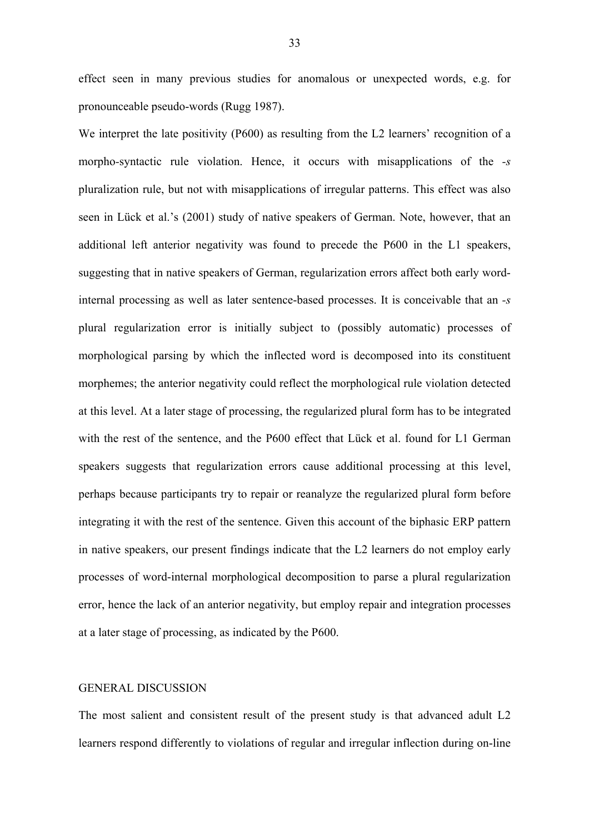effect seen in many previous studies for anomalous or unexpected words, e.g. for pronounceable pseudo-words (Rugg 1987).

We interpret the late positivity (P600) as resulting from the L2 learners' recognition of a morpho*-*syntactic rule violation. Hence, it occurs with misapplications of the *-s* pluralization rule, but not with misapplications of irregular patterns. This effect was also seen in Lück et al.'s (2001) study of native speakers of German. Note, however, that an additional left anterior negativity was found to precede the P600 in the L1 speakers, suggesting that in native speakers of German, regularization errors affect both early wordinternal processing as well as later sentence-based processes. It is conceivable that an *-s* plural regularization error is initially subject to (possibly automatic) processes of morphological parsing by which the inflected word is decomposed into its constituent morphemes; the anterior negativity could reflect the morphological rule violation detected at this level. At a later stage of processing, the regularized plural form has to be integrated with the rest of the sentence, and the P600 effect that Lück et al. found for L1 German speakers suggests that regularization errors cause additional processing at this level, perhaps because participants try to repair or reanalyze the regularized plural form before integrating it with the rest of the sentence. Given this account of the biphasic ERP pattern in native speakers, our present findings indicate that the L2 learners do not employ early processes of word-internal morphological decomposition to parse a plural regularization error, hence the lack of an anterior negativity, but employ repair and integration processes at a later stage of processing, as indicated by the P600.

## GENERAL DISCUSSION

The most salient and consistent result of the present study is that advanced adult L2 learners respond differently to violations of regular and irregular inflection during on-line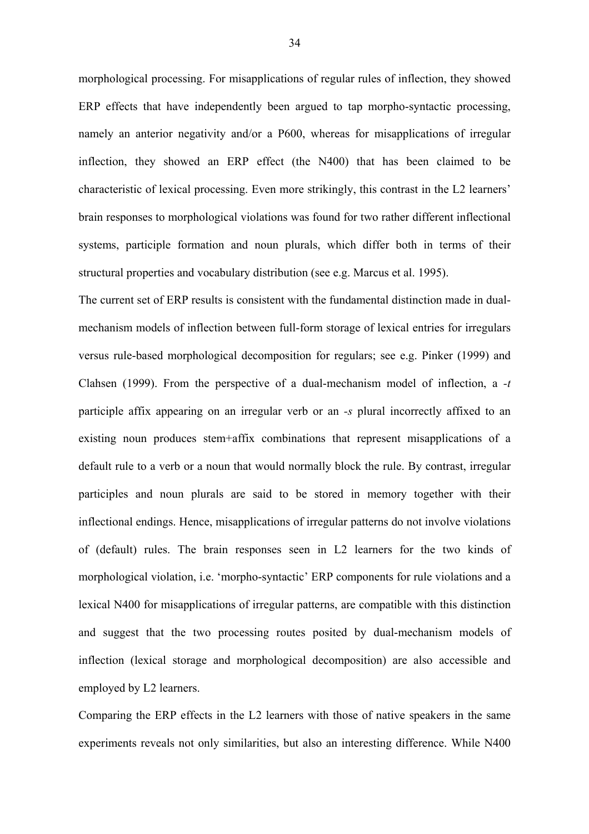morphological processing. For misapplications of regular rules of inflection, they showed ERP effects that have independently been argued to tap morpho-syntactic processing, namely an anterior negativity and/or a P600, whereas for misapplications of irregular inflection, they showed an ERP effect (the N400) that has been claimed to be characteristic of lexical processing. Even more strikingly, this contrast in the L2 learners' brain responses to morphological violations was found for two rather different inflectional systems, participle formation and noun plurals, which differ both in terms of their structural properties and vocabulary distribution (see e.g. Marcus et al. 1995).

The current set of ERP results is consistent with the fundamental distinction made in dualmechanism models of inflection between full-form storage of lexical entries for irregulars versus rule-based morphological decomposition for regulars; see e.g. Pinker (1999) and Clahsen (1999). From the perspective of a dual-mechanism model of inflection, a *-t* participle affix appearing on an irregular verb or an *-s* plural incorrectly affixed to an existing noun produces stem+affix combinations that represent misapplications of a default rule to a verb or a noun that would normally block the rule. By contrast, irregular participles and noun plurals are said to be stored in memory together with their inflectional endings. Hence, misapplications of irregular patterns do not involve violations of (default) rules. The brain responses seen in L2 learners for the two kinds of morphological violation, i.e. 'morpho-syntactic' ERP components for rule violations and a lexical N400 for misapplications of irregular patterns, are compatible with this distinction and suggest that the two processing routes posited by dual-mechanism models of inflection (lexical storage and morphological decomposition) are also accessible and employed by L2 learners.

Comparing the ERP effects in the L2 learners with those of native speakers in the same experiments reveals not only similarities, but also an interesting difference. While N400

34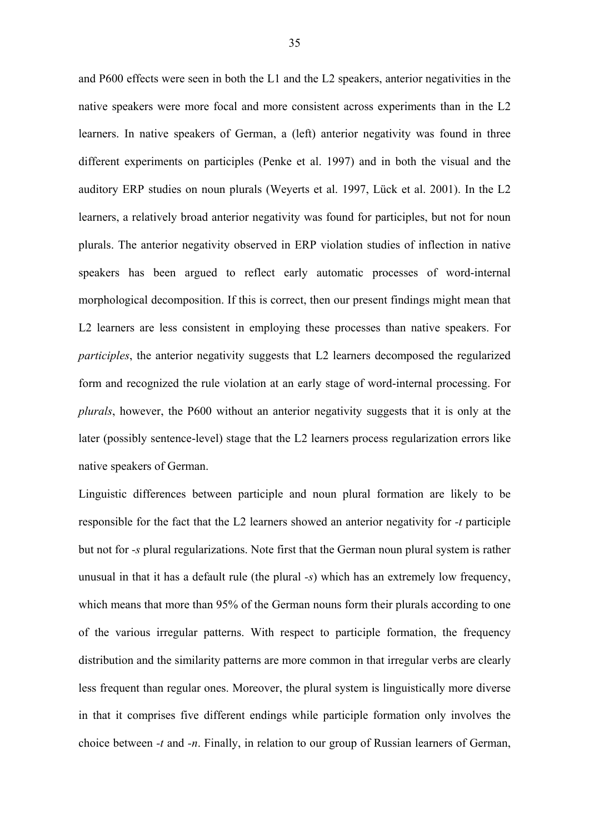and P600 effects were seen in both the L1 and the L2 speakers, anterior negativities in the native speakers were more focal and more consistent across experiments than in the L2 learners. In native speakers of German, a (left) anterior negativity was found in three different experiments on participles (Penke et al. 1997) and in both the visual and the auditory ERP studies on noun plurals (Weyerts et al. 1997, Lück et al. 2001). In the L2 learners, a relatively broad anterior negativity was found for participles, but not for noun plurals. The anterior negativity observed in ERP violation studies of inflection in native speakers has been argued to reflect early automatic processes of word-internal morphological decomposition. If this is correct, then our present findings might mean that L2 learners are less consistent in employing these processes than native speakers. For *participles*, the anterior negativity suggests that L2 learners decomposed the regularized form and recognized the rule violation at an early stage of word-internal processing. For *plurals*, however, the P600 without an anterior negativity suggests that it is only at the later (possibly sentence-level) stage that the L2 learners process regularization errors like native speakers of German.

Linguistic differences between participle and noun plural formation are likely to be responsible for the fact that the L2 learners showed an anterior negativity for *-t* participle but not for *-s* plural regularizations. Note first that the German noun plural system is rather unusual in that it has a default rule (the plural *-s*) which has an extremely low frequency, which means that more than 95% of the German nouns form their plurals according to one of the various irregular patterns. With respect to participle formation, the frequency distribution and the similarity patterns are more common in that irregular verbs are clearly less frequent than regular ones. Moreover, the plural system is linguistically more diverse in that it comprises five different endings while participle formation only involves the choice between *-t* and *-n*. Finally, in relation to our group of Russian learners of German,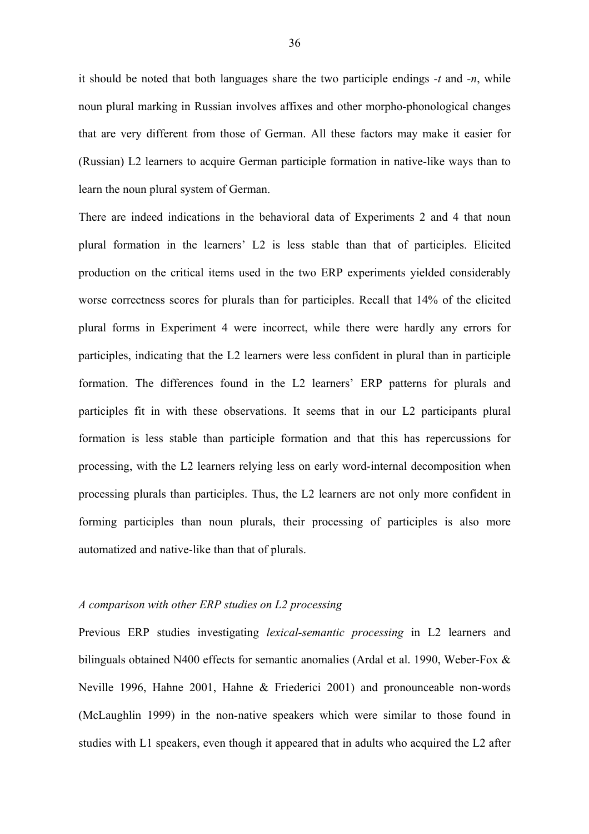it should be noted that both languages share the two participle endings *-t* and *-n*, while noun plural marking in Russian involves affixes and other morpho-phonological changes that are very different from those of German. All these factors may make it easier for (Russian) L2 learners to acquire German participle formation in native-like ways than to learn the noun plural system of German.

There are indeed indications in the behavioral data of Experiments 2 and 4 that noun plural formation in the learners' L2 is less stable than that of participles. Elicited production on the critical items used in the two ERP experiments yielded considerably worse correctness scores for plurals than for participles. Recall that 14% of the elicited plural forms in Experiment 4 were incorrect, while there were hardly any errors for participles, indicating that the L2 learners were less confident in plural than in participle formation. The differences found in the L2 learners' ERP patterns for plurals and participles fit in with these observations. It seems that in our L2 participants plural formation is less stable than participle formation and that this has repercussions for processing, with the L2 learners relying less on early word-internal decomposition when processing plurals than participles. Thus, the L2 learners are not only more confident in forming participles than noun plurals, their processing of participles is also more automatized and native-like than that of plurals.

# *A comparison with other ERP studies on L2 processing*

Previous ERP studies investigating *lexical-semantic processing* in L2 learners and bilinguals obtained N400 effects for semantic anomalies (Ardal et al. 1990, Weber-Fox & Neville 1996, Hahne 2001, Hahne & Friederici 2001) and pronounceable non-words (McLaughlin 1999) in the non*-*native speakers which were similar to those found in studies with L1 speakers, even though it appeared that in adults who acquired the L2 after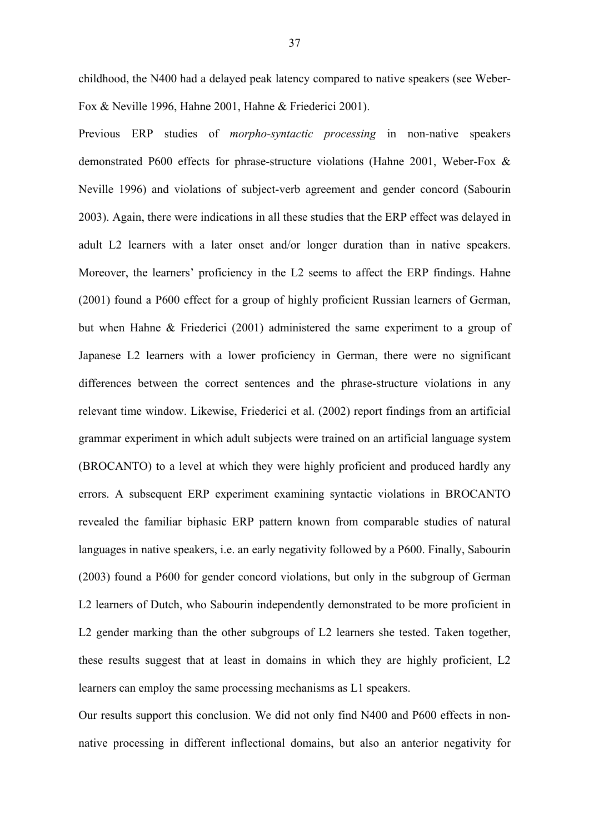childhood, the N400 had a delayed peak latency compared to native speakers (see Weber-Fox & Neville 1996, Hahne 2001, Hahne & Friederici 2001).

Previous ERP studies of *morpho-syntactic processing* in non*-*native speakers demonstrated P600 effects for phrase-structure violations (Hahne 2001, Weber-Fox & Neville 1996) and violations of subject-verb agreement and gender concord (Sabourin 2003). Again, there were indications in all these studies that the ERP effect was delayed in adult L2 learners with a later onset and/or longer duration than in native speakers. Moreover, the learners' proficiency in the L2 seems to affect the ERP findings. Hahne (2001) found a P600 effect for a group of highly proficient Russian learners of German, but when Hahne & Friederici (2001) administered the same experiment to a group of Japanese L2 learners with a lower proficiency in German, there were no significant differences between the correct sentences and the phrase-structure violations in any relevant time window. Likewise, Friederici et al. (2002) report findings from an artificial grammar experiment in which adult subjects were trained on an artificial language system (BROCANTO) to a level at which they were highly proficient and produced hardly any errors. A subsequent ERP experiment examining syntactic violations in BROCANTO revealed the familiar biphasic ERP pattern known from comparable studies of natural languages in native speakers, i.e. an early negativity followed by a P600. Finally, Sabourin (2003) found a P600 for gender concord violations, but only in the subgroup of German L2 learners of Dutch, who Sabourin independently demonstrated to be more proficient in L2 gender marking than the other subgroups of L2 learners she tested. Taken together, these results suggest that at least in domains in which they are highly proficient, L2 learners can employ the same processing mechanisms as L1 speakers.

Our results support this conclusion. We did not only find N400 and P600 effects in nonnative processing in different inflectional domains, but also an anterior negativity for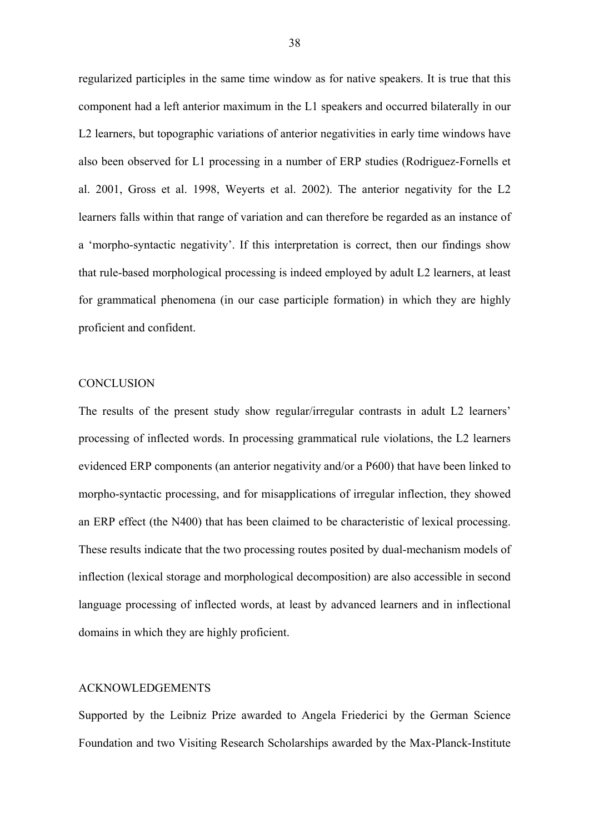regularized participles in the same time window as for native speakers. It is true that this component had a left anterior maximum in the L1 speakers and occurred bilaterally in our L2 learners, but topographic variations of anterior negativities in early time windows have also been observed for L1 processing in a number of ERP studies (Rodriguez-Fornells et al. 2001, Gross et al. 1998, Weyerts et al. 2002). The anterior negativity for the L2 learners falls within that range of variation and can therefore be regarded as an instance of a 'morpho-syntactic negativity'. If this interpretation is correct, then our findings show that rule-based morphological processing is indeed employed by adult L2 learners, at least for grammatical phenomena (in our case participle formation) in which they are highly proficient and confident.

#### **CONCLUSION**

The results of the present study show regular/irregular contrasts in adult L2 learners' processing of inflected words. In processing grammatical rule violations, the L2 learners evidenced ERP components (an anterior negativity and/or a P600) that have been linked to morpho-syntactic processing, and for misapplications of irregular inflection, they showed an ERP effect (the N400) that has been claimed to be characteristic of lexical processing. These results indicate that the two processing routes posited by dual-mechanism models of inflection (lexical storage and morphological decomposition) are also accessible in second language processing of inflected words, at least by advanced learners and in inflectional domains in which they are highly proficient.

# ACKNOWLEDGEMENTS

Supported by the Leibniz Prize awarded to Angela Friederici by the German Science Foundation and two Visiting Research Scholarships awarded by the Max-Planck-Institute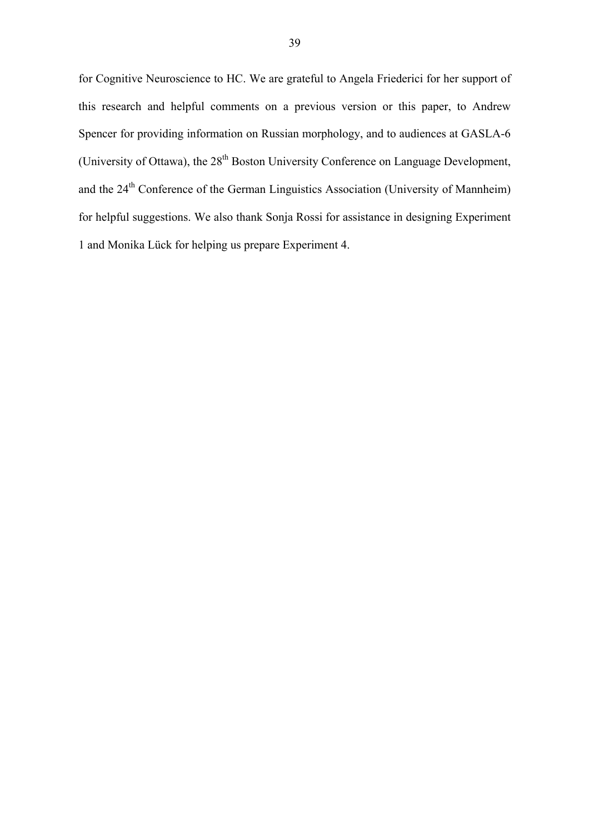for Cognitive Neuroscience to HC. We are grateful to Angela Friederici for her support of this research and helpful comments on a previous version or this paper, to Andrew Spencer for providing information on Russian morphology, and to audiences at GASLA-6 (University of Ottawa), the 28<sup>th</sup> Boston University Conference on Language Development, and the 24<sup>th</sup> Conference of the German Linguistics Association (University of Mannheim) for helpful suggestions. We also thank Sonja Rossi for assistance in designing Experiment 1 and Monika Lück for helping us prepare Experiment 4.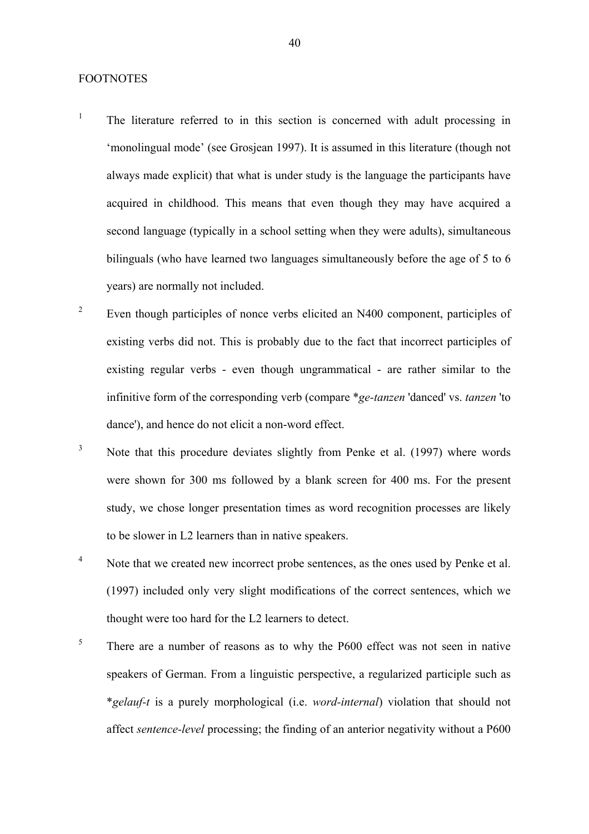#### FOOTNOTES

- 1 The literature referred to in this section is concerned with adult processing in 'monolingual mode' (see Grosjean 1997). It is assumed in this literature (though not always made explicit) that what is under study is the language the participants have acquired in childhood. This means that even though they may have acquired a second language (typically in a school setting when they were adults), simultaneous bilinguals (who have learned two languages simultaneously before the age of 5 to 6 years) are normally not included.
- 2 Even though participles of nonce verbs elicited an N400 component, participles of existing verbs did not. This is probably due to the fact that incorrect participles of existing regular verbs - even though ungrammatical - are rather similar to the infinitive form of the corresponding verb (compare \**ge-tanzen* 'danced' vs. *tanzen* 'to dance'), and hence do not elicit a non-word effect.
- 3 Note that this procedure deviates slightly from Penke et al. (1997) where words were shown for 300 ms followed by a blank screen for 400 ms. For the present study, we chose longer presentation times as word recognition processes are likely to be slower in L2 learners than in native speakers.
- 4 Note that we created new incorrect probe sentences, as the ones used by Penke et al. (1997) included only very slight modifications of the correct sentences, which we thought were too hard for the L2 learners to detect.
- 5 There are a number of reasons as to why the P600 effect was not seen in native speakers of German. From a linguistic perspective, a regularized participle such as \**gelauf-t* is a purely morphological (i.e. *word-internal*) violation that should not affect *sentence-level* processing; the finding of an anterior negativity without a P600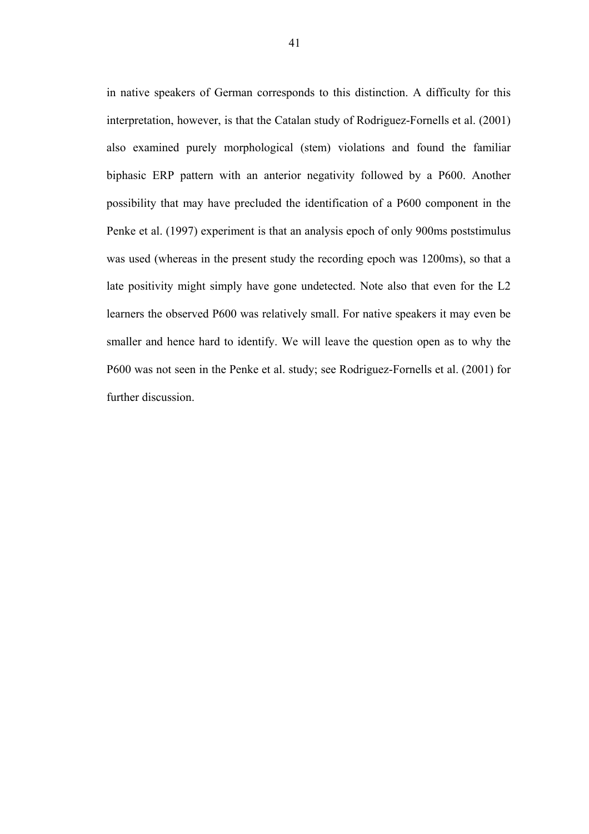in native speakers of German corresponds to this distinction. A difficulty for this interpretation, however, is that the Catalan study of Rodriguez-Fornells et al. (2001) also examined purely morphological (stem) violations and found the familiar biphasic ERP pattern with an anterior negativity followed by a P600. Another possibility that may have precluded the identification of a P600 component in the Penke et al. (1997) experiment is that an analysis epoch of only 900ms poststimulus was used (whereas in the present study the recording epoch was 1200ms), so that a late positivity might simply have gone undetected. Note also that even for the L2 learners the observed P600 was relatively small. For native speakers it may even be smaller and hence hard to identify. We will leave the question open as to why the P600 was not seen in the Penke et al. study; see Rodriguez-Fornells et al. (2001) for further discussion.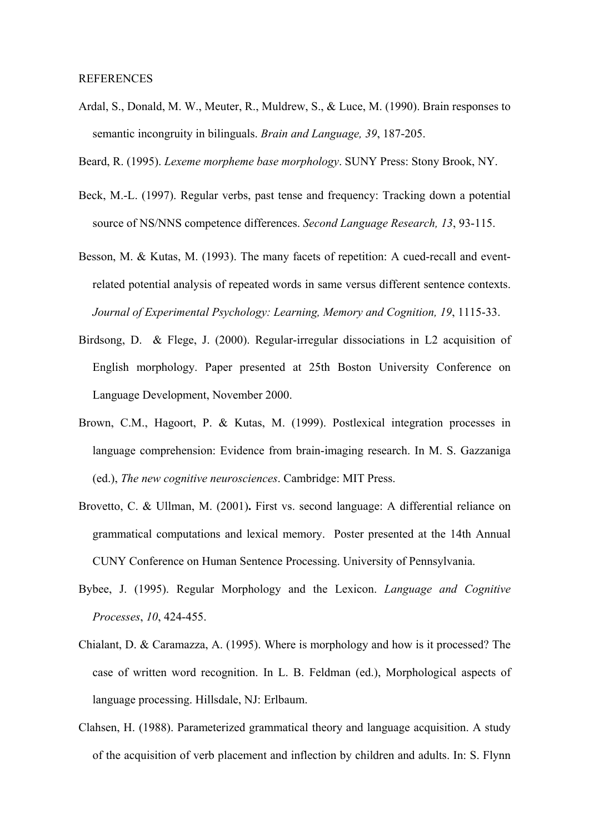- Ardal, S., Donald, M. W., Meuter, R., Muldrew, S., & Luce, M. (1990). Brain responses to semantic incongruity in bilinguals. *Brain and Language, 39*, 187-205.
- Beard, R. (1995). *Lexeme morpheme base morphology*. SUNY Press: Stony Brook, NY.
- Beck, M.-L. (1997). Regular verbs, past tense and frequency: Tracking down a potential source of NS/NNS competence differences. *Second Language Research, 13*, 93-115.
- Besson, M. & Kutas, M. (1993). The many facets of repetition: A cued-recall and eventrelated potential analysis of repeated words in same versus different sentence contexts. *Journal of Experimental Psychology: Learning, Memory and Cognition, 19*, 1115-33.
- Birdsong, D. & Flege, J. (2000). Regular-irregular dissociations in L2 acquisition of English morphology. Paper presented at 25th Boston University Conference on Language Development, November 2000.
- Brown, C.M., Hagoort, P. & Kutas, M. (1999). Postlexical integration processes in language comprehension: Evidence from brain-imaging research. In M. S. Gazzaniga (ed.), *The new cognitive neurosciences*. Cambridge: MIT Press.
- Brovetto, C. & Ullman, M. (2001)**.** First vs. second language: A differential reliance on grammatical computations and lexical memory. Poster presented at the 14th Annual CUNY Conference on Human Sentence Processing. University of Pennsylvania.
- Bybee, J. (1995). Regular Morphology and the Lexicon. *Language and Cognitive Processes*, *10*, 424-455.
- Chialant, D. & Caramazza, A. (1995). Where is morphology and how is it processed? The case of written word recognition. In L. B. Feldman (ed.), Morphological aspects of language processing. Hillsdale, NJ: Erlbaum.
- Clahsen, H. (1988). Parameterized grammatical theory and language acquisition. A study of the acquisition of verb placement and inflection by children and adults. In: S. Flynn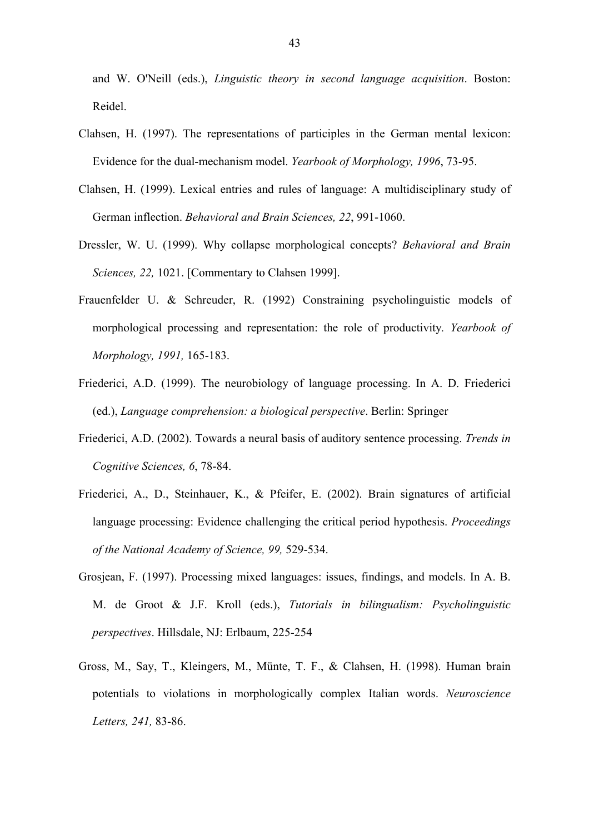and W. O'Neill (eds.), *Linguistic theory in second language acquisition*. Boston: Reidel.

- Clahsen, H. (1997). The representations of participles in the German mental lexicon: Evidence for the dual-mechanism model. *Yearbook of Morphology, 1996*, 73-95.
- Clahsen, H. (1999). Lexical entries and rules of language: A multidisciplinary study of German inflection. *Behavioral and Brain Sciences, 22*, 991-1060.
- Dressler, W. U. (1999). Why collapse morphological concepts? *Behavioral and Brain Sciences, 22,* 1021. [Commentary to Clahsen 1999].
- Frauenfelder U. & Schreuder, R. (1992) Constraining psycholinguistic models of morphological processing and representation: the role of productivity*. Yearbook of Morphology, 1991,* 165-183.
- Friederici, A.D. (1999). The neurobiology of language processing. In A. D. Friederici (ed.), *Language comprehension: a biological perspective*. Berlin: Springer
- Friederici, A.D. (2002). Towards a neural basis of auditory sentence processing. *Trends in Cognitive Sciences, 6*, 78-84.
- Friederici, A., D., Steinhauer, K., & Pfeifer, E. (2002). Brain signatures of artificial language processing: Evidence challenging the critical period hypothesis. *Proceedings of the National Academy of Science, 99,* 529-534.
- Grosjean, F. (1997). Processing mixed languages: issues, findings, and models. In A. B. M. de Groot & J.F. Kroll (eds.), *Tutorials in bilingualism: Psycholinguistic perspectives*. Hillsdale, NJ: Erlbaum, 225-254
- Gross, M., Say, T., Kleingers, M., Münte, T. F., & Clahsen, H. (1998). Human brain potentials to violations in morphologically complex Italian words. *Neuroscience Letters, 241,* 83-86.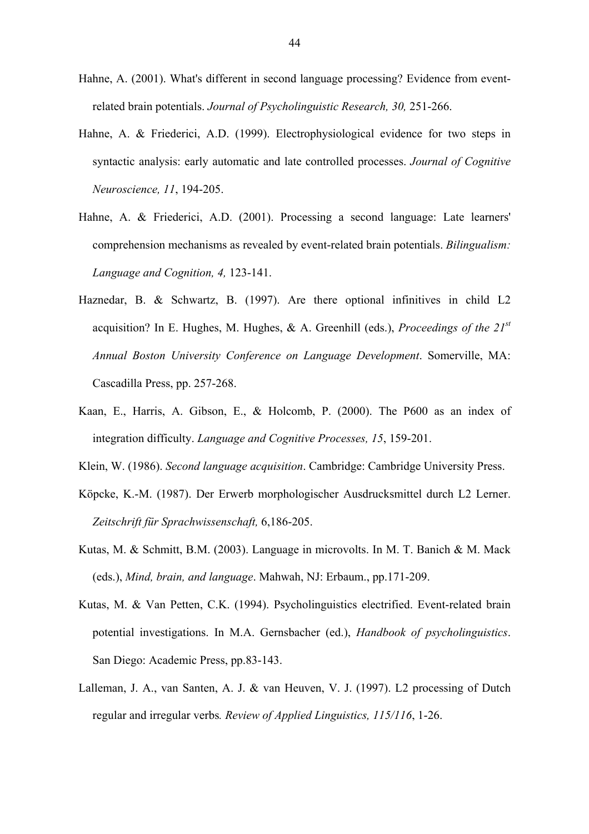- Hahne, A. (2001). What's different in second language processing? Evidence from eventrelated brain potentials. *Journal of Psycholinguistic Research, 30,* 251-266.
- Hahne, A. & Friederici, A.D. (1999). Electrophysiological evidence for two steps in syntactic analysis: early automatic and late controlled processes. *Journal of Cognitive Neuroscience, 11*, 194-205.
- Hahne, A. & Friederici, A.D. (2001). Processing a second language: Late learners' comprehension mechanisms as revealed by event-related brain potentials. *Bilingualism: Language and Cognition, 4,* 123-141.
- Haznedar, B. & Schwartz, B. (1997). Are there optional infinitives in child L2 acquisition? In E. Hughes, M. Hughes, & A. Greenhill (eds.), *Proceedings of the 21st Annual Boston University Conference on Language Development*. Somerville, MA: Cascadilla Press, pp. 257-268.
- Kaan, E., Harris, A. Gibson, E., & Holcomb, P. (2000). The P600 as an index of integration difficulty. *Language and Cognitive Processes, 15*, 159-201.
- Klein, W. (1986). *Second language acquisition*. Cambridge: Cambridge University Press.
- Köpcke, K.-M. (1987). Der Erwerb morphologischer Ausdrucksmittel durch L2 Lerner. *Zeitschrift für Sprachwissenschaft,* 6,186-205.
- Kutas, M. & Schmitt, B.M. (2003). Language in microvolts. In M. T. Banich & M. Mack (eds.), *Mind, brain, and language*. Mahwah, NJ: Erbaum., pp.171-209.
- Kutas, M. & Van Petten, C.K. (1994). Psycholinguistics electrified. Event-related brain potential investigations. In M.A. Gernsbacher (ed.), *Handbook of psycholinguistics*. San Diego: Academic Press, pp.83-143.
- Lalleman, J. A., van Santen, A. J. & van Heuven, V. J. (1997). L2 processing of Dutch regular and irregular verbs*. Review of Applied Linguistics, 115/116*, 1-26.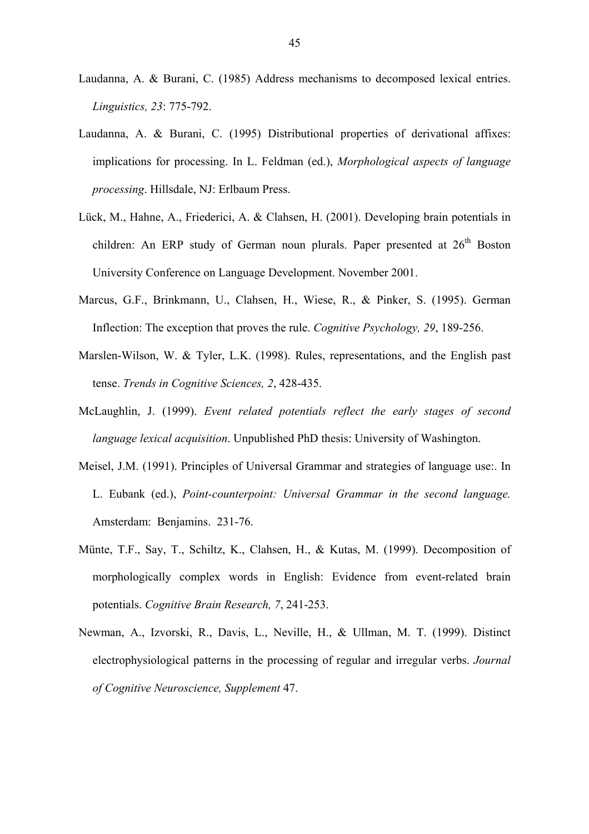- Laudanna, A. & Burani, C. (1985) Address mechanisms to decomposed lexical entries. *Linguistics, 23*: 775-792.
- Laudanna, A. & Burani, C. (1995) Distributional properties of derivational affixes: implications for processing. In L. Feldman (ed.), *Morphological aspects of language processing*. Hillsdale, NJ: Erlbaum Press.
- Lück, M., Hahne, A., Friederici, A. & Clahsen, H. (2001). Developing brain potentials in children: An ERP study of German noun plurals. Paper presented at  $26<sup>th</sup>$  Boston University Conference on Language Development. November 2001.
- Marcus, G.F., Brinkmann, U., Clahsen, H., Wiese, R., & Pinker, S. (1995). German Inflection: The exception that proves the rule. *Cognitive Psychology, 29*, 189-256.
- Marslen-Wilson, W. & Tyler, L.K. (1998). Rules, representations, and the English past tense. *Trends in Cognitive Sciences, 2*, 428-435.
- McLaughlin, J. (1999). *Event related potentials reflect the early stages of second language lexical acquisition*. Unpublished PhD thesis: University of Washington.
- Meisel, J.M. (1991). Principles of Universal Grammar and strategies of language use:. In L. Eubank (ed.), *Point-counterpoint: Universal Grammar in the second language.* Amsterdam: Benjamins. 231-76.
- Münte, T.F., Say, T., Schiltz, K., Clahsen, H., & Kutas, M. (1999). Decomposition of morphologically complex words in English: Evidence from event-related brain potentials. *Cognitive Brain Research, 7*, 241-253.
- Newman, A., Izvorski, R., Davis, L., Neville, H., & Ullman, M. T. (1999). Distinct electrophysiological patterns in the processing of regular and irregular verbs. *Journal of Cognitive Neuroscience, Supplement* 47.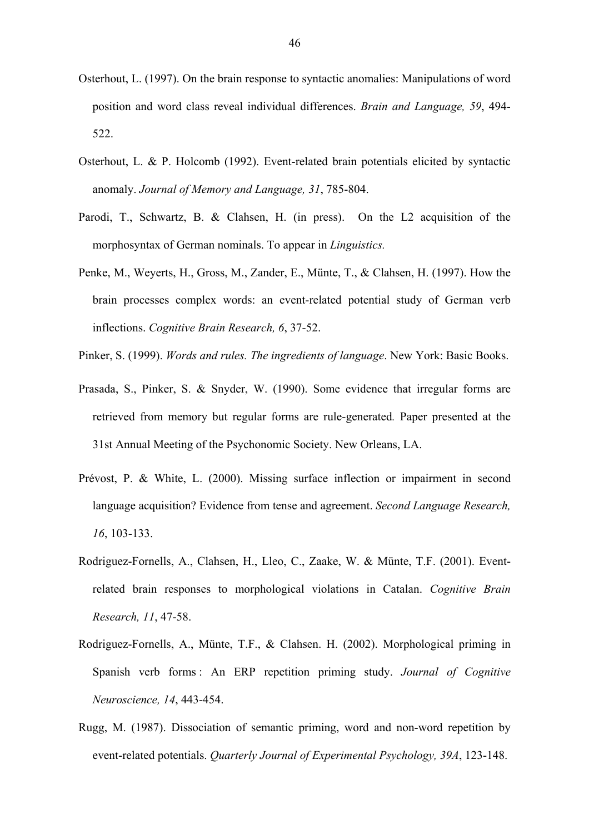- Osterhout, L. (1997). On the brain response to syntactic anomalies: Manipulations of word position and word class reveal individual differences. *Brain and Language, 59*, 494- 522.
- Osterhout, L. & P. Holcomb (1992). Event-related brain potentials elicited by syntactic anomaly. *Journal of Memory and Language, 31*, 785-804.
- Parodi, T., Schwartz, B. & Clahsen, H. (in press). On the L2 acquisition of the morphosyntax of German nominals. To appear in *Linguistics.*
- Penke, M., Weyerts, H., Gross, M., Zander, E., Münte, T., & Clahsen, H. (1997). How the brain processes complex words: an event-related potential study of German verb inflections. *Cognitive Brain Research, 6*, 37-52.
- Pinker, S. (1999). *Words and rules. The ingredients of language*. New York: Basic Books.
- Prasada, S., Pinker, S. & Snyder, W. (1990). Some evidence that irregular forms are retrieved from memory but regular forms are rule-generated*.* Paper presented at the 31st Annual Meeting of the Psychonomic Society. New Orleans, LA.
- Prévost, P. & White, L. (2000). Missing surface inflection or impairment in second language acquisition? Evidence from tense and agreement. *Second Language Research, 16*, 103-133.
- Rodriguez-Fornells, A., Clahsen, H., Lleo, C., Zaake, W. & Münte, T.F. (2001). Eventrelated brain responses to morphological violations in Catalan. *Cognitive Brain Research, 11*, 47-58.
- Rodriguez-Fornells, A., Münte, T.F., & Clahsen. H. (2002). Morphological priming in Spanish verb forms : An ERP repetition priming study. *Journal of Cognitive Neuroscience, 14*, 443-454.
- Rugg, M. (1987). Dissociation of semantic priming, word and non-word repetition by event-related potentials. *Quarterly Journal of Experimental Psychology, 39A*, 123-148.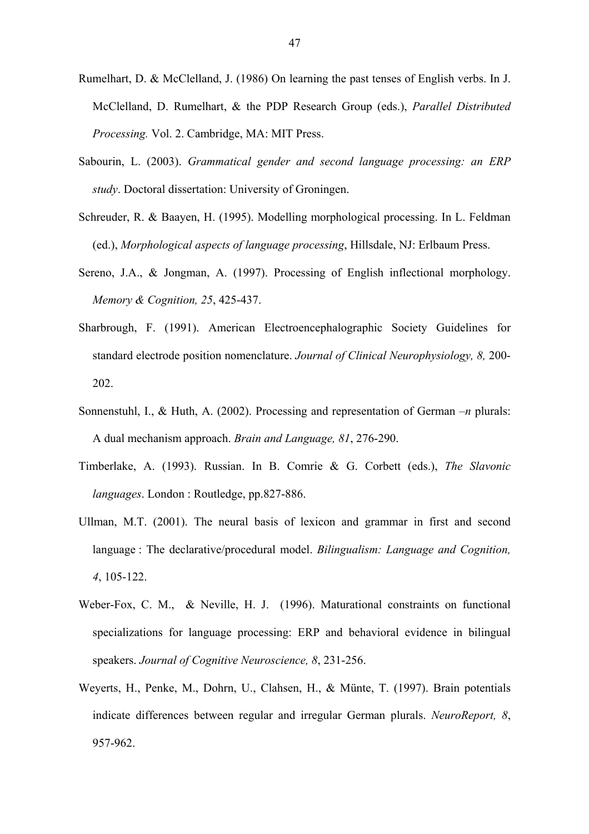- Rumelhart, D. & McClelland, J. (1986) On learning the past tenses of English verbs. In J. McClelland, D. Rumelhart, & the PDP Research Group (eds.), *Parallel Distributed Processing.* Vol. 2. Cambridge, MA: MIT Press.
- Sabourin, L. (2003). *Grammatical gender and second language processing: an ERP study*. Doctoral dissertation: University of Groningen.
- Schreuder, R. & Baayen, H. (1995). Modelling morphological processing. In L. Feldman (ed.), *Morphological aspects of language processing*, Hillsdale, NJ: Erlbaum Press.
- Sereno, J.A., & Jongman, A. (1997). Processing of English inflectional morphology. *Memory & Cognition, 25*, 425-437.
- Sharbrough, F. (1991). American Electroencephalographic Society Guidelines for standard electrode position nomenclature. *Journal of Clinical Neurophysiology, 8,* 200- 202.
- Sonnenstuhl, I., & Huth, A. (2002). Processing and representation of German –*n* plurals: A dual mechanism approach. *Brain and Language, 81*, 276-290.
- Timberlake, A. (1993). Russian. In B. Comrie & G. Corbett (eds.), *The Slavonic languages*. London : Routledge, pp.827-886.
- Ullman, M.T. (2001). The neural basis of lexicon and grammar in first and second language : The declarative/procedural model. *Bilingualism: Language and Cognition, 4*, 105-122.
- Weber-Fox, C. M., & Neville, H. J. (1996). Maturational constraints on functional specializations for language processing: ERP and behavioral evidence in bilingual speakers. *Journal of Cognitive Neuroscience, 8*, 231-256.
- Weyerts, H., Penke, M., Dohrn, U., Clahsen, H., & Münte, T. (1997). Brain potentials indicate differences between regular and irregular German plurals. *NeuroReport, 8*, 957-962.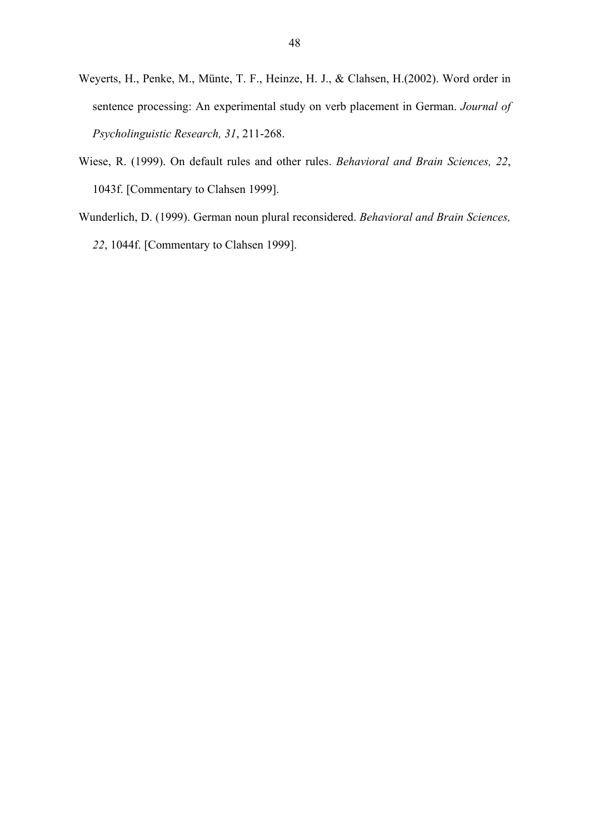- Weyerts, H., Penke, M., Münte, T. F., Heinze, H. J., & Clahsen, H.(2002). Word order in sentence processing: An experimental study on verb placement in German. *Journal of Psycholinguistic Research, 31*, 211-268.
- Wiese, R. (1999). On default rules and other rules. *Behavioral and Brain Sciences, 22*, 1043f. [Commentary to Clahsen 1999].
- Wunderlich, D. (1999). German noun plural reconsidered. *Behavioral and Brain Sciences, 22*, 1044f. [Commentary to Clahsen 1999].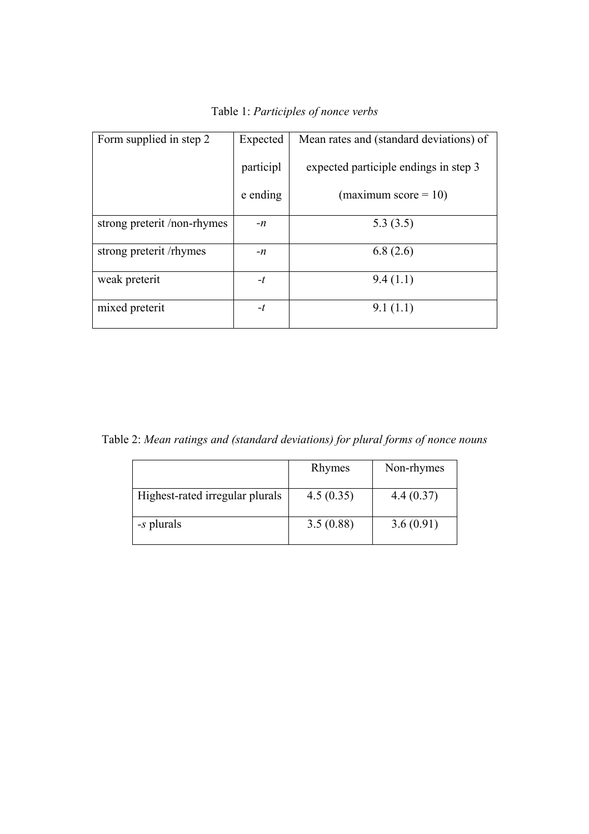| Form supplied in step 2     | Expected  | Mean rates and (standard deviations) of |  |
|-----------------------------|-----------|-----------------------------------------|--|
|                             | participl | expected participle endings in step 3   |  |
|                             | e ending  | (maximum score $= 10$ )                 |  |
| strong preterit /non-rhymes | $-n$      | 5.3(3.5)                                |  |
| strong preterit /rhymes     | $-n$      | 6.8(2.6)                                |  |
| weak preterit               | $-t$      | 9.4(1.1)                                |  |
| mixed preterit              | $-t$      | 9.1(1.1)                                |  |

Table 1: *Participles of nonce verbs*

Table 2: *Mean ratings and (standard deviations) for plural forms of nonce nouns*

|                                 | Rhymes    | Non-rhymes |
|---------------------------------|-----------|------------|
| Highest-rated irregular plurals | 4.5(0.35) | 4.4(0.37)  |
| -s plurals                      | 3.5(0.88) | 3.6(0.91)  |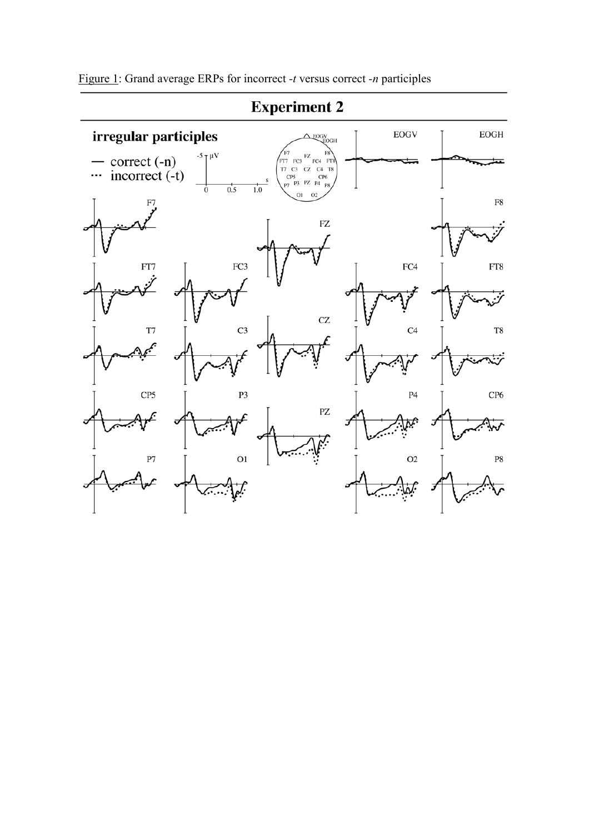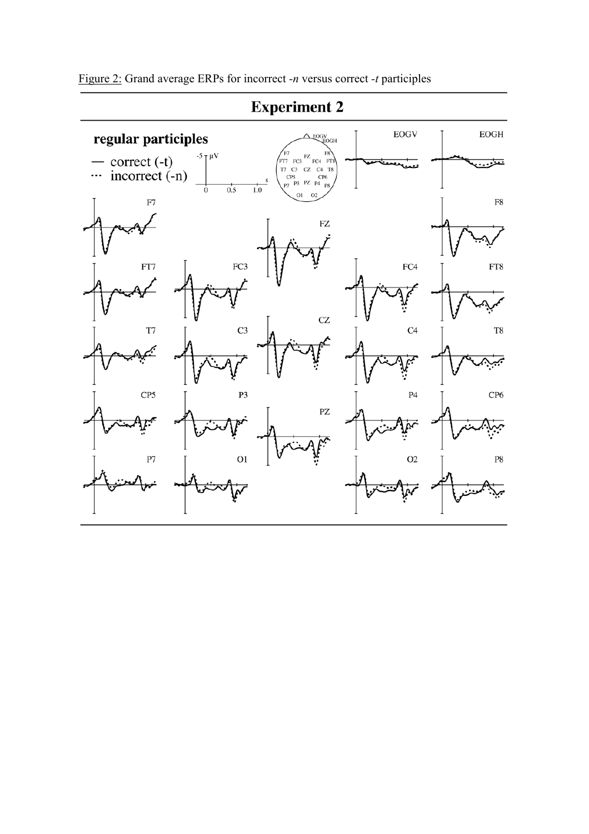

# **Experiment 2**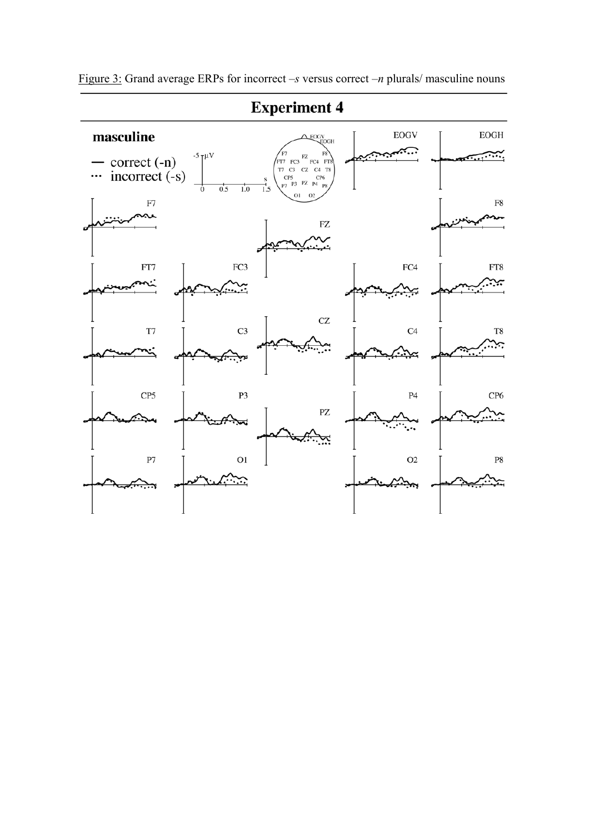

Figure 3: Grand average ERPs for incorrect –*s* versus correct –*n* plurals/ masculine nouns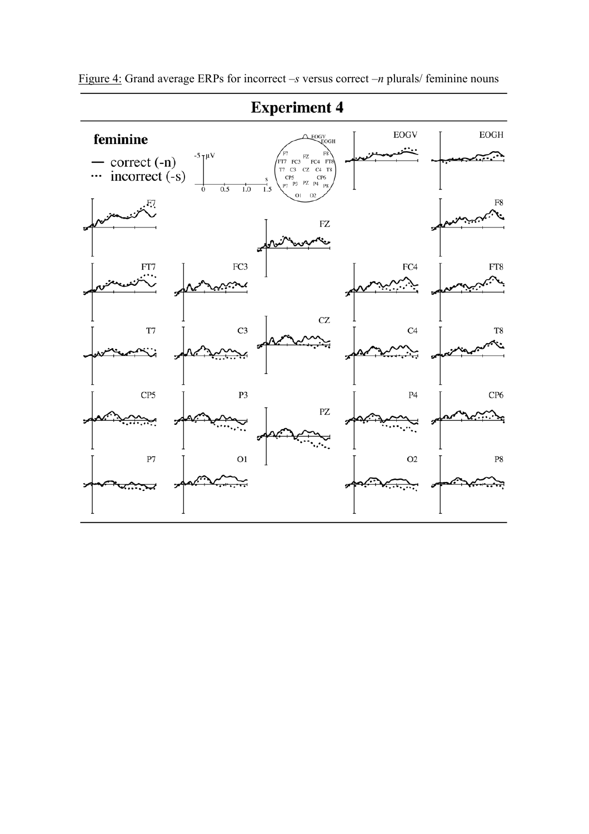

Figure 4: Grand average ERPs for incorrect –*s* versus correct –*n* plurals/ feminine nouns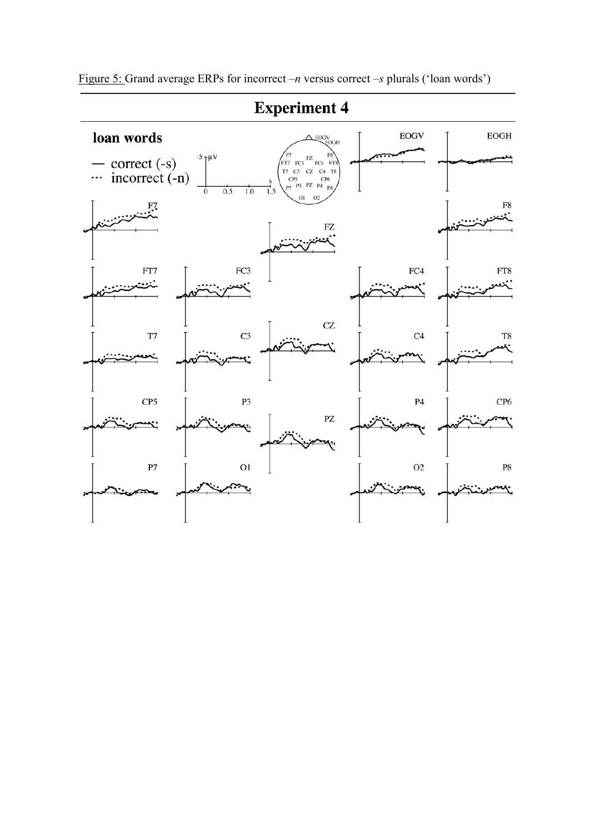

Figure 5: Grand average ERPs for incorrect –*n* versus correct –*s* plurals ('loan words')